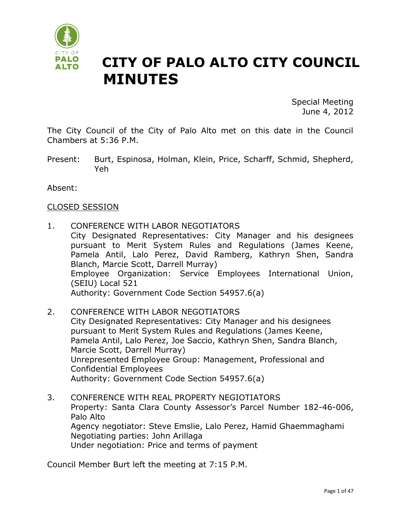

# **CITY OF PALO ALTO CITY COUNCIL MINUTES**

Special Meeting June 4, 2012

The City Council of the City of Palo Alto met on this date in the Council Chambers at 5:36 P.M.

Present: Burt, Espinosa, Holman, Klein, Price, Scharff, Schmid, Shepherd, Yeh

Absent:

#### CLOSED SESSION

- 1. CONFERENCE WITH LABOR NEGOTIATORS City Designated Representatives: City Manager and his designees pursuant to Merit System Rules and Regulations (James Keene, Pamela Antil, Lalo Perez, David Ramberg, Kathryn Shen, Sandra Blanch, Marcie Scott, Darrell Murray) Employee Organization: Service Employees International Union, (SEIU) Local 521 Authority: Government Code Section 54957.6(a)
- 2. CONFERENCE WITH LABOR NEGOTIATORS City Designated Representatives: City Manager and his designees pursuant to Merit System Rules and Regulations (James Keene, Pamela Antil, Lalo Perez, Joe Saccio, Kathryn Shen, Sandra Blanch, Marcie Scott, Darrell Murray) Unrepresented Employee Group: Management, Professional and Confidential Employees Authority: Government Code Section 54957.6(a)
- 3. CONFERENCE WITH REAL PROPERTY NEGIOTIATORS Property: Santa Clara County Assessor's Parcel Number 182-46-006, Palo Alto Agency negotiator: Steve Emslie, Lalo Perez, Hamid Ghaemmaghami Negotiating parties: John Arillaga Under negotiation: Price and terms of payment

Council Member Burt left the meeting at 7:15 P.M.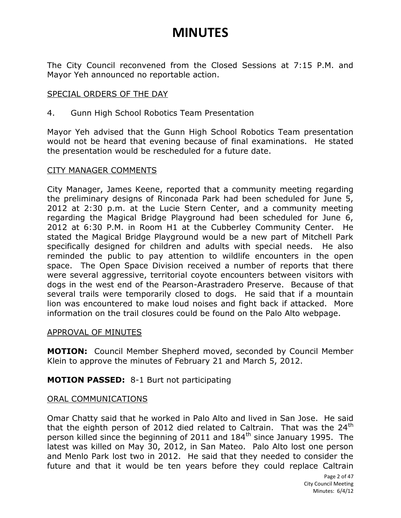The City Council reconvened from the Closed Sessions at 7:15 P.M. and Mayor Yeh announced no reportable action.

#### SPECIAL ORDERS OF THE DAY

4. Gunn High School Robotics Team Presentation

Mayor Yeh advised that the Gunn High School Robotics Team presentation would not be heard that evening because of final examinations. He stated the presentation would be rescheduled for a future date.

#### CITY MANAGER COMMENTS

City Manager, James Keene, reported that a community meeting regarding the preliminary designs of Rinconada Park had been scheduled for June 5, 2012 at 2:30 p.m. at the Lucie Stern Center, and a community meeting regarding the Magical Bridge Playground had been scheduled for June 6, 2012 at 6:30 P.M. in Room H1 at the Cubberley Community Center. He stated the Magical Bridge Playground would be a new part of Mitchell Park specifically designed for children and adults with special needs. He also reminded the public to pay attention to wildlife encounters in the open space. The Open Space Division received a number of reports that there were several aggressive, territorial coyote encounters between visitors with dogs in the west end of the Pearson-Arastradero Preserve. Because of that several trails were temporarily closed to dogs. He said that if a mountain lion was encountered to make loud noises and fight back if attacked. More information on the trail closures could be found on the Palo Alto webpage.

#### APPROVAL OF MINUTES

**MOTION:** Council Member Shepherd moved, seconded by Council Member Klein to approve the minutes of February 21 and March 5, 2012.

#### **MOTION PASSED:** 8-1 Burt not participating

#### ORAL COMMUNICATIONS

Omar Chatty said that he worked in Palo Alto and lived in San Jose. He said that the eighth person of 2012 died related to Caltrain. That was the  $24<sup>th</sup>$ person killed since the beginning of 2011 and 184<sup>th</sup> since January 1995. The latest was killed on May 30, 2012, in San Mateo. Palo Alto lost one person and Menlo Park lost two in 2012. He said that they needed to consider the future and that it would be ten years before they could replace Caltrain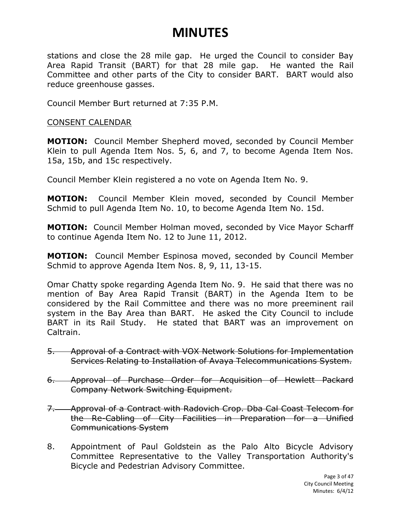stations and close the 28 mile gap. He urged the Council to consider Bay Area Rapid Transit (BART) for that 28 mile gap. He wanted the Rail Committee and other parts of the City to consider BART. BART would also reduce greenhouse gasses.

Council Member Burt returned at 7:35 P.M.

#### CONSENT CALENDAR

**MOTION:** Council Member Shepherd moved, seconded by Council Member Klein to pull Agenda Item Nos. 5, 6, and 7, to become Agenda Item Nos. 15a, 15b, and 15c respectively.

Council Member Klein registered a no vote on Agenda Item No. 9.

**MOTION:** Council Member Klein moved, seconded by Council Member Schmid to pull Agenda Item No. 10, to become Agenda Item No. 15d.

**MOTION:** Council Member Holman moved, seconded by Vice Mayor Scharff to continue Agenda Item No. 12 to June 11, 2012.

**MOTION:** Council Member Espinosa moved, seconded by Council Member Schmid to approve Agenda Item Nos. 8, 9, 11, 13-15.

Omar Chatty spoke regarding Agenda Item No. 9. He said that there was no mention of Bay Area Rapid Transit (BART) in the Agenda Item to be considered by the Rail Committee and there was no more preeminent rail system in the Bay Area than BART. He asked the City Council to include BART in its Rail Study. He stated that BART was an improvement on Caltrain.

- 5. Approval of a Contract with VOX Network Solutions for Implementation Services Relating to Installation of Avaya Telecommunications System.
- 6. Approval of Purchase Order for Acquisition of Hewlett Packard Company Network Switching Equipment.
- 7. Approval of a Contract with Radovich Crop. Dba Cal Coast Telecom for the Re-Cabling of City Facilities in Preparation for a Unified Communications System
- 8. Appointment of Paul Goldstein as the Palo Alto Bicycle Advisory Committee Representative to the Valley Transportation Authority's Bicycle and Pedestrian Advisory Committee.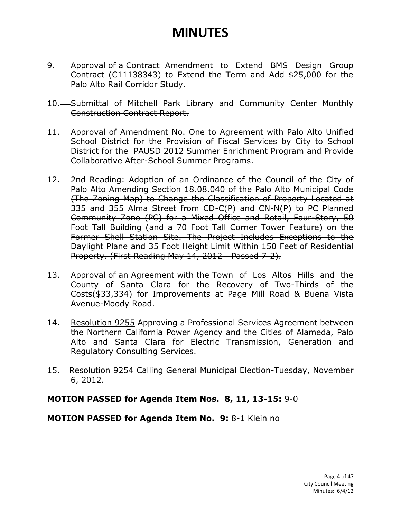9. Approval of a Contract Amendment to Extend BMS Design Group Contract (C11138343) to Extend the Term and Add \$25,000 for the Palo Alto Rail Corridor Study.

#### 10. Submittal of Mitchell Park Library and Community Center Monthly Construction Contract Report.

- 11. Approval of Amendment No. One to Agreement with Palo Alto Unified School District for the Provision of Fiscal Services by City to School District for the PAUSD 2012 Summer Enrichment Program and Provide Collaborative After-School Summer Programs.
- 12. 2nd Reading: Adoption of an Ordinance of the Council of the City of Palo Alto Amending Section 18.08.040 of the Palo Alto Municipal Code (The Zoning Map) to Change the Classification of Property Located at 335 and 355 Alma Street from CD-C(P) and CN-N(P) to PC Planned Community Zone (PC) for a Mixed Office and Retail, Four-Story, 50 Foot Tall Building (and a 70 Foot Tall Corner Tower Feature) on the Former Shell Station Site. The Project Includes Exceptions to the Daylight Plane and 35 Foot Height Limit Within 150 Feet of Residential Property. (First Reading May 14, 2012 - Passed 7-2).
- 13. Approval of an Agreement with the Town of Los Altos Hills and the County of Santa Clara for the Recovery of Two-Thirds of the Costs(\$33,334) for Improvements at Page Mill Road & Buena Vista Avenue-Moody Road.
- 14. Resolution 9255 Approving a Professional Services Agreement between the Northern California Power Agency and the Cities of Alameda, Palo Alto and Santa Clara for Electric Transmission, Generation and Regulatory Consulting Services.
- 15. Resolution 9254 Calling General Municipal Election-Tuesday, November 6, 2012.

#### **MOTION PASSED for Agenda Item Nos. 8, 11, 13-15:** 9-0

#### **MOTION PASSED for Agenda Item No. 9:** 8-1 Klein no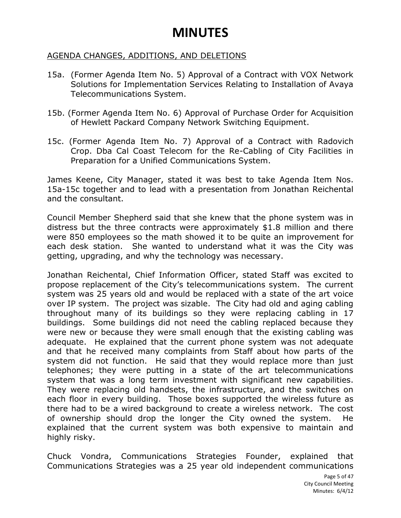#### AGENDA CHANGES, ADDITIONS, AND DELETIONS

- 15a. (Former Agenda Item No. 5) Approval of a Contract with VOX Network Solutions for Implementation Services Relating to Installation of Avaya Telecommunications System.
- 15b. (Former Agenda Item No. 6) Approval of Purchase Order for Acquisition of Hewlett Packard Company Network Switching Equipment.
- 15c. (Former Agenda Item No. 7) Approval of a Contract with Radovich Crop. Dba Cal Coast Telecom for the Re-Cabling of City Facilities in Preparation for a Unified Communications System.

James Keene, City Manager, stated it was best to take Agenda Item Nos. 15a-15c together and to lead with a presentation from Jonathan Reichental and the consultant.

Council Member Shepherd said that she knew that the phone system was in distress but the three contracts were approximately \$1.8 million and there were 850 employees so the math showed it to be quite an improvement for each desk station. She wanted to understand what it was the City was getting, upgrading, and why the technology was necessary.

Jonathan Reichental, Chief Information Officer, stated Staff was excited to propose replacement of the City's telecommunications system. The current system was 25 years old and would be replaced with a state of the art voice over IP system. The project was sizable. The City had old and aging cabling throughout many of its buildings so they were replacing cabling in 17 buildings. Some buildings did not need the cabling replaced because they were new or because they were small enough that the existing cabling was adequate. He explained that the current phone system was not adequate and that he received many complaints from Staff about how parts of the system did not function. He said that they would replace more than just telephones; they were putting in a state of the art telecommunications system that was a long term investment with significant new capabilities. They were replacing old handsets, the infrastructure, and the switches on each floor in every building. Those boxes supported the wireless future as there had to be a wired background to create a wireless network. The cost of ownership should drop the longer the City owned the system. He explained that the current system was both expensive to maintain and highly risky.

Chuck Vondra, Communications Strategies Founder, explained that Communications Strategies was a 25 year old independent communications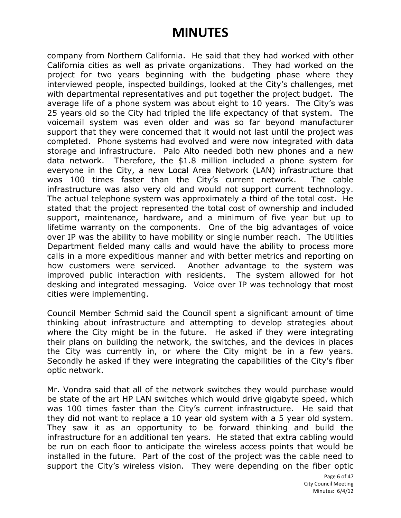company from Northern California. He said that they had worked with other California cities as well as private organizations. They had worked on the project for two years beginning with the budgeting phase where they interviewed people, inspected buildings, looked at the City's challenges, met with departmental representatives and put together the project budget. The average life of a phone system was about eight to 10 years. The City's was 25 years old so the City had tripled the life expectancy of that system. The voicemail system was even older and was so far beyond manufacturer support that they were concerned that it would not last until the project was completed. Phone systems had evolved and were now integrated with data storage and infrastructure. Palo Alto needed both new phones and a new data network. Therefore, the \$1.8 million included a phone system for everyone in the City, a new Local Area Network (LAN) infrastructure that was 100 times faster than the City's current network. The cable infrastructure was also very old and would not support current technology. The actual telephone system was approximately a third of the total cost. He stated that the project represented the total cost of ownership and included support, maintenance, hardware, and a minimum of five year but up to lifetime warranty on the components. One of the big advantages of voice over IP was the ability to have mobility or single number reach. The Utilities Department fielded many calls and would have the ability to process more calls in a more expeditious manner and with better metrics and reporting on how customers were serviced. Another advantage to the system was improved public interaction with residents. The system allowed for hot desking and integrated messaging. Voice over IP was technology that most cities were implementing.

Council Member Schmid said the Council spent a significant amount of time thinking about infrastructure and attempting to develop strategies about where the City might be in the future. He asked if they were integrating their plans on building the network, the switches, and the devices in places the City was currently in, or where the City might be in a few years. Secondly he asked if they were integrating the capabilities of the City's fiber optic network.

Mr. Vondra said that all of the network switches they would purchase would be state of the art HP LAN switches which would drive gigabyte speed, which was 100 times faster than the City's current infrastructure. He said that they did not want to replace a 10 year old system with a 5 year old system. They saw it as an opportunity to be forward thinking and build the infrastructure for an additional ten years. He stated that extra cabling would be run on each floor to anticipate the wireless access points that would be installed in the future. Part of the cost of the project was the cable need to support the City's wireless vision. They were depending on the fiber optic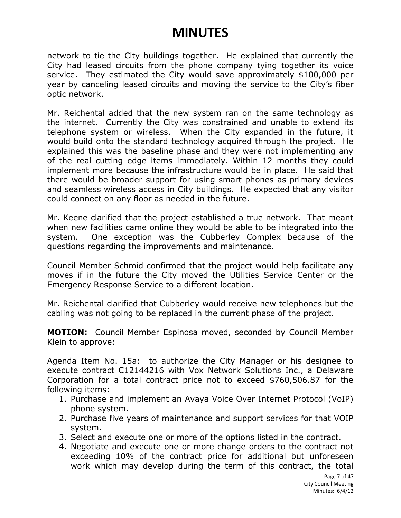network to tie the City buildings together. He explained that currently the City had leased circuits from the phone company tying together its voice service. They estimated the City would save approximately \$100,000 per year by canceling leased circuits and moving the service to the City's fiber optic network.

Mr. Reichental added that the new system ran on the same technology as the internet. Currently the City was constrained and unable to extend its telephone system or wireless. When the City expanded in the future, it would build onto the standard technology acquired through the project. He explained this was the baseline phase and they were not implementing any of the real cutting edge items immediately. Within 12 months they could implement more because the infrastructure would be in place. He said that there would be broader support for using smart phones as primary devices and seamless wireless access in City buildings. He expected that any visitor could connect on any floor as needed in the future.

Mr. Keene clarified that the project established a true network. That meant when new facilities came online they would be able to be integrated into the system. One exception was the Cubberley Complex because of the questions regarding the improvements and maintenance.

Council Member Schmid confirmed that the project would help facilitate any moves if in the future the City moved the Utilities Service Center or the Emergency Response Service to a different location.

Mr. Reichental clarified that Cubberley would receive new telephones but the cabling was not going to be replaced in the current phase of the project.

**MOTION:** Council Member Espinosa moved, seconded by Council Member Klein to approve:

Agenda Item No. 15a: to authorize the City Manager or his designee to execute contract C12144216 with Vox Network Solutions Inc., a Delaware Corporation for a total contract price not to exceed \$760,506.87 for the following items:

- 1. Purchase and implement an Avaya Voice Over Internet Protocol (VoIP) phone system.
- 2. Purchase five years of maintenance and support services for that VOIP system.
- 3. Select and execute one or more of the options listed in the contract.
- 4. Negotiate and execute one or more change orders to the contract not exceeding 10% of the contract price for additional but unforeseen work which may develop during the term of this contract, the total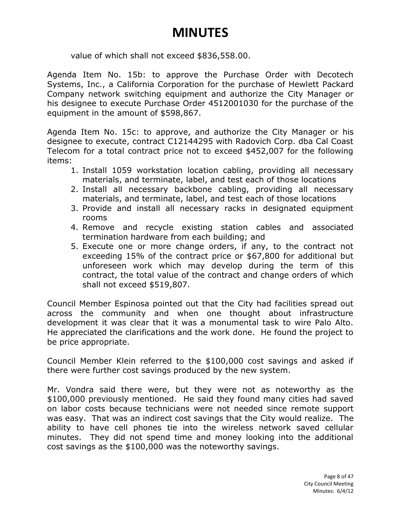value of which shall not exceed \$836,558.00.

Agenda Item No. 15b: to approve the Purchase Order with Decotech Systems, Inc., a California Corporation for the purchase of Hewlett Packard Company network switching equipment and authorize the City Manager or his designee to execute Purchase Order 4512001030 for the purchase of the equipment in the amount of \$598,867.

Agenda Item No. 15c: to approve, and authorize the City Manager or his designee to execute, contract C12144295 with Radovich Corp. dba Cal Coast Telecom for a total contract price not to exceed \$452,007 for the following items:

- 1. Install 1059 workstation location cabling, providing all necessary materials, and terminate, label, and test each of those locations
- 2. Install all necessary backbone cabling, providing all necessary materials, and terminate, label, and test each of those locations
- 3. Provide and install all necessary racks in designated equipment rooms
- 4. Remove and recycle existing station cables and associated termination hardware from each building; and
- 5. Execute one or more change orders, if any, to the contract not exceeding 15% of the contract price or \$67,800 for additional but unforeseen work which may develop during the term of this contract, the total value of the contract and change orders of which shall not exceed \$519,807.

Council Member Espinosa pointed out that the City had facilities spread out across the community and when one thought about infrastructure development it was clear that it was a monumental task to wire Palo Alto. He appreciated the clarifications and the work done. He found the project to be price appropriate.

Council Member Klein referred to the \$100,000 cost savings and asked if there were further cost savings produced by the new system.

Mr. Vondra said there were, but they were not as noteworthy as the \$100,000 previously mentioned. He said they found many cities had saved on labor costs because technicians were not needed since remote support was easy. That was an indirect cost savings that the City would realize. The ability to have cell phones tie into the wireless network saved cellular minutes. They did not spend time and money looking into the additional cost savings as the \$100,000 was the noteworthy savings.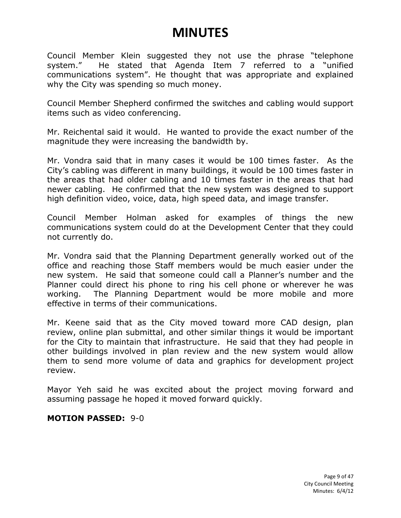Council Member Klein suggested they not use the phrase "telephone system." He stated that Agenda Item 7 referred to a "unified communications system". He thought that was appropriate and explained why the City was spending so much money.

Council Member Shepherd confirmed the switches and cabling would support items such as video conferencing.

Mr. Reichental said it would. He wanted to provide the exact number of the magnitude they were increasing the bandwidth by.

Mr. Vondra said that in many cases it would be 100 times faster. As the City's cabling was different in many buildings, it would be 100 times faster in the areas that had older cabling and 10 times faster in the areas that had newer cabling. He confirmed that the new system was designed to support high definition video, voice, data, high speed data, and image transfer.

Council Member Holman asked for examples of things the new communications system could do at the Development Center that they could not currently do.

Mr. Vondra said that the Planning Department generally worked out of the office and reaching those Staff members would be much easier under the new system. He said that someone could call a Planner's number and the Planner could direct his phone to ring his cell phone or wherever he was working. The Planning Department would be more mobile and more effective in terms of their communications.

Mr. Keene said that as the City moved toward more CAD design, plan review, online plan submittal, and other similar things it would be important for the City to maintain that infrastructure. He said that they had people in other buildings involved in plan review and the new system would allow them to send more volume of data and graphics for development project review.

Mayor Yeh said he was excited about the project moving forward and assuming passage he hoped it moved forward quickly.

#### **MOTION PASSED:** 9-0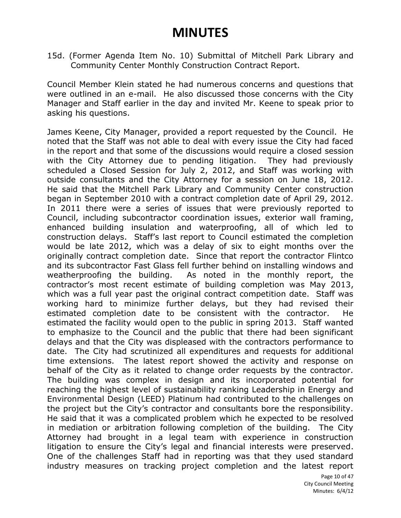15d. (Former Agenda Item No. 10) Submittal of Mitchell Park Library and Community Center Monthly Construction Contract Report.

Council Member Klein stated he had numerous concerns and questions that were outlined in an e-mail. He also discussed those concerns with the City Manager and Staff earlier in the day and invited Mr. Keene to speak prior to asking his questions.

James Keene, City Manager, provided a report requested by the Council. He noted that the Staff was not able to deal with every issue the City had faced in the report and that some of the discussions would require a closed session with the City Attorney due to pending litigation. They had previously scheduled a Closed Session for July 2, 2012, and Staff was working with outside consultants and the City Attorney for a session on June 18, 2012. He said that the Mitchell Park Library and Community Center construction began in September 2010 with a contract completion date of April 29, 2012. In 2011 there were a series of issues that were previously reported to Council, including subcontractor coordination issues, exterior wall framing, enhanced building insulation and waterproofing, all of which led to construction delays. Staff's last report to Council estimated the completion would be late 2012, which was a delay of six to eight months over the originally contract completion date. Since that report the contractor Flintco and its subcontractor Fast Glass fell further behind on installing windows and weatherproofing the building. As noted in the monthly report, the contractor's most recent estimate of building completion was May 2013, which was a full year past the original contract competition date. Staff was working hard to minimize further delays, but they had revised their estimated completion date to be consistent with the contractor. He estimated the facility would open to the public in spring 2013. Staff wanted to emphasize to the Council and the public that there had been significant delays and that the City was displeased with the contractors performance to date. The City had scrutinized all expenditures and requests for additional time extensions. The latest report showed the activity and response on behalf of the City as it related to change order requests by the contractor. The building was complex in design and its incorporated potential for reaching the highest level of sustainability ranking Leadership in Energy and Environmental Design (LEED) Platinum had contributed to the challenges on the project but the City's contractor and consultants bore the responsibility. He said that it was a complicated problem which he expected to be resolved in mediation or arbitration following completion of the building. The City Attorney had brought in a legal team with experience in construction litigation to ensure the City's legal and financial interests were preserved. One of the challenges Staff had in reporting was that they used standard industry measures on tracking project completion and the latest report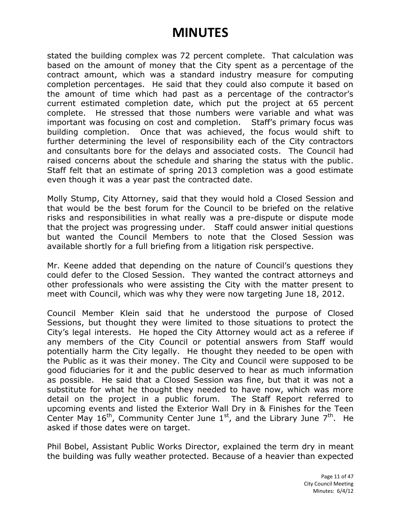stated the building complex was 72 percent complete. That calculation was based on the amount of money that the City spent as a percentage of the contract amount, which was a standard industry measure for computing completion percentages. He said that they could also compute it based on the amount of time which had past as a percentage of the contractor's current estimated completion date, which put the project at 65 percent complete. He stressed that those numbers were variable and what was important was focusing on cost and completion. Staff's primary focus was building completion. Once that was achieved, the focus would shift to further determining the level of responsibility each of the City contractors and consultants bore for the delays and associated costs. The Council had raised concerns about the schedule and sharing the status with the public. Staff felt that an estimate of spring 2013 completion was a good estimate even though it was a year past the contracted date.

Molly Stump, City Attorney, said that they would hold a Closed Session and that would be the best forum for the Council to be briefed on the relative risks and responsibilities in what really was a pre-dispute or dispute mode that the project was progressing under. Staff could answer initial questions but wanted the Council Members to note that the Closed Session was available shortly for a full briefing from a litigation risk perspective.

Mr. Keene added that depending on the nature of Council's questions they could defer to the Closed Session. They wanted the contract attorneys and other professionals who were assisting the City with the matter present to meet with Council, which was why they were now targeting June 18, 2012.

Council Member Klein said that he understood the purpose of Closed Sessions, but thought they were limited to those situations to protect the City's legal interests. He hoped the City Attorney would act as a referee if any members of the City Council or potential answers from Staff would potentially harm the City legally. He thought they needed to be open with the Public as it was their money. The City and Council were supposed to be good fiduciaries for it and the public deserved to hear as much information as possible. He said that a Closed Session was fine, but that it was not a substitute for what he thought they needed to have now, which was more detail on the project in a public forum. The Staff Report referred to upcoming events and listed the Exterior Wall Dry in & Finishes for the Teen Center May  $16^{th}$ , Community Center June  $1<sup>st</sup>$ , and the Library June  $7<sup>th</sup>$ . He asked if those dates were on target.

Phil Bobel, Assistant Public Works Director, explained the term dry in meant the building was fully weather protected. Because of a heavier than expected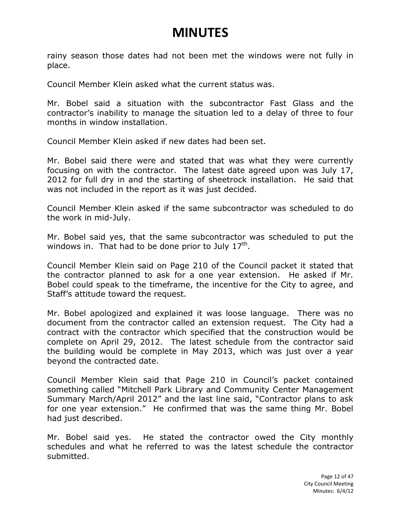rainy season those dates had not been met the windows were not fully in place.

Council Member Klein asked what the current status was.

Mr. Bobel said a situation with the subcontractor Fast Glass and the contractor's inability to manage the situation led to a delay of three to four months in window installation.

Council Member Klein asked if new dates had been set.

Mr. Bobel said there were and stated that was what they were currently focusing on with the contractor. The latest date agreed upon was July 17, 2012 for full dry in and the starting of sheetrock installation. He said that was not included in the report as it was just decided.

Council Member Klein asked if the same subcontractor was scheduled to do the work in mid-July.

Mr. Bobel said yes, that the same subcontractor was scheduled to put the windows in. That had to be done prior to July  $17<sup>th</sup>$ .

Council Member Klein said on Page 210 of the Council packet it stated that the contractor planned to ask for a one year extension. He asked if Mr. Bobel could speak to the timeframe, the incentive for the City to agree, and Staff's attitude toward the request.

Mr. Bobel apologized and explained it was loose language. There was no document from the contractor called an extension request. The City had a contract with the contractor which specified that the construction would be complete on April 29, 2012. The latest schedule from the contractor said the building would be complete in May 2013, which was just over a year beyond the contracted date.

Council Member Klein said that Page 210 in Council's packet contained something called "Mitchell Park Library and Community Center Management Summary March/April 2012" and the last line said, "Contractor plans to ask for one year extension." He confirmed that was the same thing Mr. Bobel had just described.

Mr. Bobel said yes. He stated the contractor owed the City monthly schedules and what he referred to was the latest schedule the contractor submitted.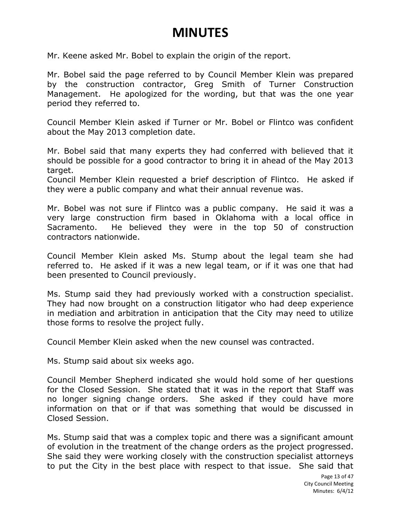Mr. Keene asked Mr. Bobel to explain the origin of the report.

Mr. Bobel said the page referred to by Council Member Klein was prepared by the construction contractor, Greg Smith of Turner Construction Management. He apologized for the wording, but that was the one year period they referred to.

Council Member Klein asked if Turner or Mr. Bobel or Flintco was confident about the May 2013 completion date.

Mr. Bobel said that many experts they had conferred with believed that it should be possible for a good contractor to bring it in ahead of the May 2013 target.

Council Member Klein requested a brief description of Flintco. He asked if they were a public company and what their annual revenue was.

Mr. Bobel was not sure if Flintco was a public company. He said it was a very large construction firm based in Oklahoma with a local office in Sacramento. He believed they were in the top 50 of construction contractors nationwide.

Council Member Klein asked Ms. Stump about the legal team she had referred to. He asked if it was a new legal team, or if it was one that had been presented to Council previously.

Ms. Stump said they had previously worked with a construction specialist. They had now brought on a construction litigator who had deep experience in mediation and arbitration in anticipation that the City may need to utilize those forms to resolve the project fully.

Council Member Klein asked when the new counsel was contracted.

Ms. Stump said about six weeks ago.

Council Member Shepherd indicated she would hold some of her questions for the Closed Session. She stated that it was in the report that Staff was no longer signing change orders. She asked if they could have more information on that or if that was something that would be discussed in Closed Session.

Ms. Stump said that was a complex topic and there was a significant amount of evolution in the treatment of the change orders as the project progressed. She said they were working closely with the construction specialist attorneys to put the City in the best place with respect to that issue. She said that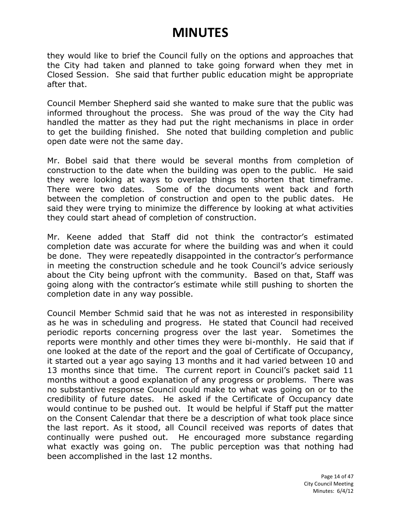they would like to brief the Council fully on the options and approaches that the City had taken and planned to take going forward when they met in Closed Session. She said that further public education might be appropriate after that.

Council Member Shepherd said she wanted to make sure that the public was informed throughout the process. She was proud of the way the City had handled the matter as they had put the right mechanisms in place in order to get the building finished. She noted that building completion and public open date were not the same day.

Mr. Bobel said that there would be several months from completion of construction to the date when the building was open to the public. He said they were looking at ways to overlap things to shorten that timeframe. There were two dates. Some of the documents went back and forth between the completion of construction and open to the public dates. He said they were trying to minimize the difference by looking at what activities they could start ahead of completion of construction.

Mr. Keene added that Staff did not think the contractor's estimated completion date was accurate for where the building was and when it could be done. They were repeatedly disappointed in the contractor's performance in meeting the construction schedule and he took Council's advice seriously about the City being upfront with the community. Based on that, Staff was going along with the contractor's estimate while still pushing to shorten the completion date in any way possible.

Council Member Schmid said that he was not as interested in responsibility as he was in scheduling and progress. He stated that Council had received periodic reports concerning progress over the last year. Sometimes the reports were monthly and other times they were bi-monthly. He said that if one looked at the date of the report and the goal of Certificate of Occupancy, it started out a year ago saying 13 months and it had varied between 10 and 13 months since that time. The current report in Council's packet said 11 months without a good explanation of any progress or problems. There was no substantive response Council could make to what was going on or to the credibility of future dates. He asked if the Certificate of Occupancy date would continue to be pushed out. It would be helpful if Staff put the matter on the Consent Calendar that there be a description of what took place since the last report. As it stood, all Council received was reports of dates that continually were pushed out. He encouraged more substance regarding what exactly was going on. The public perception was that nothing had been accomplished in the last 12 months.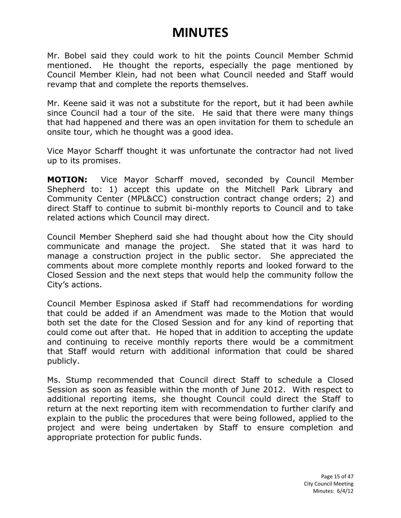Mr. Bobel said they could work to hit the points Council Member Schmid mentioned. He thought the reports, especially the page mentioned by Council Member Klein, had not been what Council needed and Staff would revamp that and complete the reports themselves.

Mr. Keene said it was not a substitute for the report, but it had been awhile since Council had a tour of the site. He said that there were many things that had happened and there was an open invitation for them to schedule an onsite tour, which he thought was a good idea.

Vice Mayor Scharff thought it was unfortunate the contractor had not lived up to its promises.

**MOTION:** Vice Mayor Scharff moved, seconded by Council Member Shepherd to: 1) accept this update on the Mitchell Park Library and Community Center (MPL&CC) construction contract change orders; 2) and direct Staff to continue to submit bi-monthly reports to Council and to take related actions which Council may direct.

Council Member Shepherd said she had thought about how the City should communicate and manage the project. She stated that it was hard to manage a construction project in the public sector. She appreciated the comments about more complete monthly reports and looked forward to the Closed Session and the next steps that would help the community follow the City's actions.

Council Member Espinosa asked if Staff had recommendations for wording that could be added if an Amendment was made to the Motion that would both set the date for the Closed Session and for any kind of reporting that could come out after that. He hoped that in addition to accepting the update and continuing to receive monthly reports there would be a commitment that Staff would return with additional information that could be shared publicly.

Ms. Stump recommended that Council direct Staff to schedule a Closed Session as soon as feasible within the month of June 2012. With respect to additional reporting items, she thought Council could direct the Staff to return at the next reporting item with recommendation to further clarify and explain to the public the procedures that were being followed, applied to the project and were being undertaken by Staff to ensure completion and appropriate protection for public funds.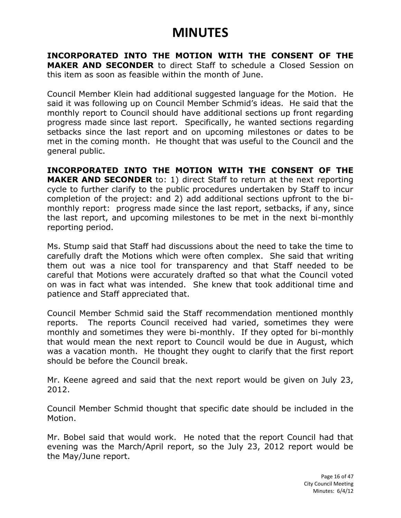**INCORPORATED INTO THE MOTION WITH THE CONSENT OF THE MAKER AND SECONDER** to direct Staff to schedule a Closed Session on this item as soon as feasible within the month of June.

Council Member Klein had additional suggested language for the Motion. He said it was following up on Council Member Schmid's ideas. He said that the monthly report to Council should have additional sections up front regarding progress made since last report. Specifically, he wanted sections regarding setbacks since the last report and on upcoming milestones or dates to be met in the coming month. He thought that was useful to the Council and the general public.

**INCORPORATED INTO THE MOTION WITH THE CONSENT OF THE MAKER AND SECONDER** to: 1) direct Staff to return at the next reporting cycle to further clarify to the public procedures undertaken by Staff to incur completion of the project: and 2) add additional sections upfront to the bimonthly report: progress made since the last report, setbacks, if any, since the last report, and upcoming milestones to be met in the next bi-monthly reporting period.

Ms. Stump said that Staff had discussions about the need to take the time to carefully draft the Motions which were often complex. She said that writing them out was a nice tool for transparency and that Staff needed to be careful that Motions were accurately drafted so that what the Council voted on was in fact what was intended. She knew that took additional time and patience and Staff appreciated that.

Council Member Schmid said the Staff recommendation mentioned monthly reports. The reports Council received had varied, sometimes they were monthly and sometimes they were bi-monthly. If they opted for bi-monthly that would mean the next report to Council would be due in August, which was a vacation month. He thought they ought to clarify that the first report should be before the Council break.

Mr. Keene agreed and said that the next report would be given on July 23, 2012.

Council Member Schmid thought that specific date should be included in the Motion.

Mr. Bobel said that would work. He noted that the report Council had that evening was the March/April report, so the July 23, 2012 report would be the May/June report.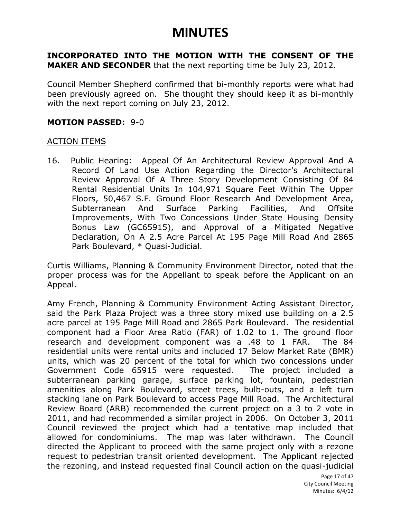**INCORPORATED INTO THE MOTION WITH THE CONSENT OF THE MAKER AND SECONDER** that the next reporting time be July 23, 2012.

Council Member Shepherd confirmed that bi-monthly reports were what had been previously agreed on. She thought they should keep it as bi-monthly with the next report coming on July 23, 2012.

#### **MOTION PASSED:** 9-0

#### ACTION ITEMS

16. Public Hearing: Appeal Of An Architectural Review Approval And A Record Of Land Use Action Regarding the Director's Architectural Review Approval Of A Three Story Development Consisting Of 84 Rental Residential Units In 104,971 Square Feet Within The Upper Floors, 50,467 S.F. Ground Floor Research And Development Area, Subterranean And Surface Parking Facilities, And Offsite Improvements, With Two Concessions Under State Housing Density Bonus Law (GC65915), and Approval of a Mitigated Negative Declaration, On A 2.5 Acre Parcel At 195 Page Mill Road And 2865 Park Boulevard, \* Quasi-Judicial.

Curtis Williams, Planning & Community Environment Director, noted that the proper process was for the Appellant to speak before the Applicant on an Appeal.

Amy French, Planning & Community Environment Acting Assistant Director, said the Park Plaza Project was a three story mixed use building on a 2.5 acre parcel at 195 Page Mill Road and 2865 Park Boulevard. The residential component had a Floor Area Ratio (FAR) of 1.02 to 1. The ground floor research and development component was a .48 to 1 FAR. The 84 residential units were rental units and included 17 Below Market Rate (BMR) units, which was 20 percent of the total for which two concessions under Government Code 65915 were requested. The project included a subterranean parking garage, surface parking lot, fountain, pedestrian amenities along Park Boulevard, street trees, bulb-outs, and a left turn stacking lane on Park Boulevard to access Page Mill Road. The Architectural Review Board (ARB) recommended the current project on a 3 to 2 vote in 2011, and had recommended a similar project in 2006. On October 3, 2011 Council reviewed the project which had a tentative map included that allowed for condominiums. The map was later withdrawn. The Council directed the Applicant to proceed with the same project only with a rezone request to pedestrian transit oriented development. The Applicant rejected the rezoning, and instead requested final Council action on the quasi-judicial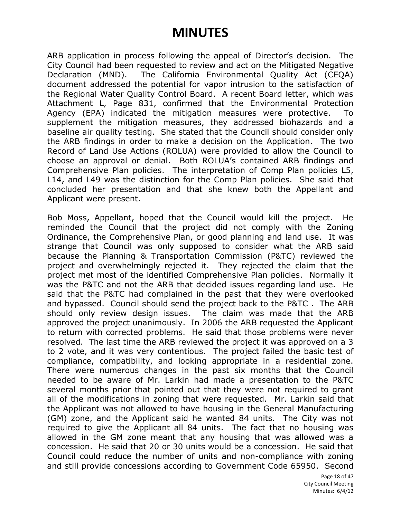ARB application in process following the appeal of Director's decision. The City Council had been requested to review and act on the Mitigated Negative Declaration (MND). The California Environmental Quality Act (CEQA) document addressed the potential for vapor intrusion to the satisfaction of the Regional Water Quality Control Board. A recent Board letter, which was Attachment L, Page 831, confirmed that the Environmental Protection Agency (EPA) indicated the mitigation measures were protective. To supplement the mitigation measures, they addressed biohazards and a baseline air quality testing. She stated that the Council should consider only the ARB findings in order to make a decision on the Application. The two Record of Land Use Actions (ROLUA) were provided to allow the Council to choose an approval or denial. Both ROLUA's contained ARB findings and Comprehensive Plan policies. The interpretation of Comp Plan policies L5, L14, and L49 was the distinction for the Comp Plan policies. She said that concluded her presentation and that she knew both the Appellant and Applicant were present.

Bob Moss, Appellant, hoped that the Council would kill the project. He reminded the Council that the project did not comply with the Zoning Ordinance, the Comprehensive Plan, or good planning and land use. It was strange that Council was only supposed to consider what the ARB said because the Planning & Transportation Commission (P&TC) reviewed the project and overwhelmingly rejected it. They rejected the claim that the project met most of the identified Comprehensive Plan policies. Normally it was the P&TC and not the ARB that decided issues regarding land use. He said that the P&TC had complained in the past that they were overlooked and bypassed. Council should send the project back to the P&TC . The ARB should only review design issues. The claim was made that the ARB approved the project unanimously. In 2006 the ARB requested the Applicant to return with corrected problems. He said that those problems were never resolved. The last time the ARB reviewed the project it was approved on a 3 to 2 vote, and it was very contentious. The project failed the basic test of compliance, compatibility, and looking appropriate in a residential zone. There were numerous changes in the past six months that the Council needed to be aware of Mr. Larkin had made a presentation to the P&TC several months prior that pointed out that they were not required to grant all of the modifications in zoning that were requested. Mr. Larkin said that the Applicant was not allowed to have housing in the General Manufacturing (GM) zone, and the Applicant said he wanted 84 units. The City was not required to give the Applicant all 84 units. The fact that no housing was allowed in the GM zone meant that any housing that was allowed was a concession. He said that 20 or 30 units would be a concession. He said that Council could reduce the number of units and non-compliance with zoning and still provide concessions according to Government Code 65950. Second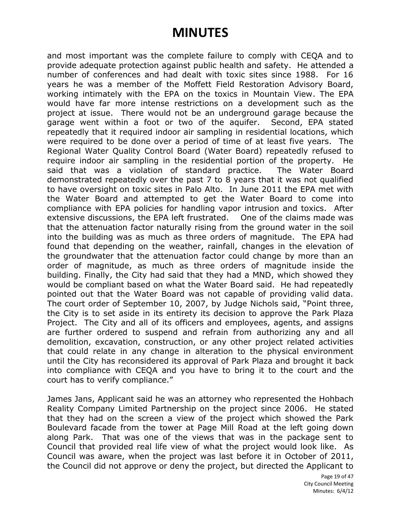and most important was the complete failure to comply with CEQA and to provide adequate protection against public health and safety. He attended a number of conferences and had dealt with toxic sites since 1988. For 16 years he was a member of the Moffett Field Restoration Advisory Board, working intimately with the EPA on the toxics in Mountain View. The EPA would have far more intense restrictions on a development such as the project at issue. There would not be an underground garage because the garage went within a foot or two of the aquifer. Second, EPA stated repeatedly that it required indoor air sampling in residential locations, which were required to be done over a period of time of at least five years. The Regional Water Quality Control Board (Water Board) repeatedly refused to require indoor air sampling in the residential portion of the property. He said that was a violation of standard practice. The Water Board demonstrated repeatedly over the past 7 to 8 years that it was not qualified to have oversight on toxic sites in Palo Alto. In June 2011 the EPA met with the Water Board and attempted to get the Water Board to come into compliance with EPA policies for handling vapor intrusion and toxics. After extensive discussions, the EPA left frustrated. One of the claims made was that the attenuation factor naturally rising from the ground water in the soil into the building was as much as three orders of magnitude. The EPA had found that depending on the weather, rainfall, changes in the elevation of the groundwater that the attenuation factor could change by more than an order of magnitude, as much as three orders of magnitude inside the building. Finally, the City had said that they had a MND, which showed they would be compliant based on what the Water Board said. He had repeatedly pointed out that the Water Board was not capable of providing valid data. The court order of September 10, 2007, by Judge Nichols said, "Point three, the City is to set aside in its entirety its decision to approve the Park Plaza Project. The City and all of its officers and employees, agents, and assigns are further ordered to suspend and refrain from authorizing any and all demolition, excavation, construction, or any other project related activities that could relate in any change in alteration to the physical environment until the City has reconsidered its approval of Park Plaza and brought it back into compliance with CEQA and you have to bring it to the court and the court has to verify compliance."

James Jans, Applicant said he was an attorney who represented the Hohbach Reality Company Limited Partnership on the project since 2006. He stated that they had on the screen a view of the project which showed the Park Boulevard facade from the tower at Page Mill Road at the left going down along Park. That was one of the views that was in the package sent to Council that provided real life view of what the project would look like. As Council was aware, when the project was last before it in October of 2011, the Council did not approve or deny the project, but directed the Applicant to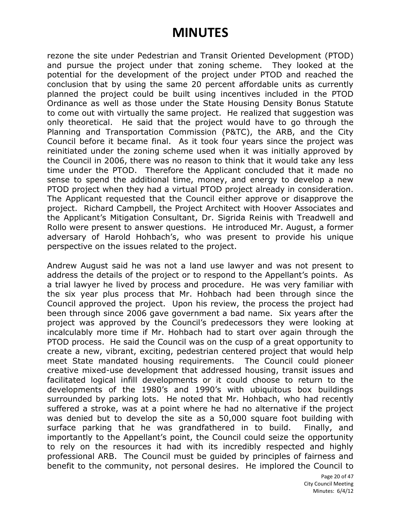rezone the site under Pedestrian and Transit Oriented Development (PTOD) and pursue the project under that zoning scheme. They looked at the potential for the development of the project under PTOD and reached the conclusion that by using the same 20 percent affordable units as currently planned the project could be built using incentives included in the PTOD Ordinance as well as those under the State Housing Density Bonus Statute to come out with virtually the same project. He realized that suggestion was only theoretical. He said that the project would have to go through the Planning and Transportation Commission (P&TC), the ARB, and the City Council before it became final. As it took four years since the project was reinitiated under the zoning scheme used when it was initially approved by the Council in 2006, there was no reason to think that it would take any less time under the PTOD. Therefore the Applicant concluded that it made no sense to spend the additional time, money, and energy to develop a new PTOD project when they had a virtual PTOD project already in consideration. The Applicant requested that the Council either approve or disapprove the project. Richard Campbell, the Project Architect with Hoover Associates and the Applicant's Mitigation Consultant, Dr. Sigrida Reinis with Treadwell and Rollo were present to answer questions. He introduced Mr. August, a former adversary of Harold Hohbach's, who was present to provide his unique perspective on the issues related to the project.

Andrew August said he was not a land use lawyer and was not present to address the details of the project or to respond to the Appellant's points. As a trial lawyer he lived by process and procedure. He was very familiar with the six year plus process that Mr. Hohbach had been through since the Council approved the project. Upon his review, the process the project had been through since 2006 gave government a bad name. Six years after the project was approved by the Council's predecessors they were looking at incalculably more time if Mr. Hohbach had to start over again through the PTOD process. He said the Council was on the cusp of a great opportunity to create a new, vibrant, exciting, pedestrian centered project that would help meet State mandated housing requirements. The Council could pioneer creative mixed-use development that addressed housing, transit issues and facilitated logical infill developments or it could choose to return to the developments of the 1980's and 1990's with ubiquitous box buildings surrounded by parking lots. He noted that Mr. Hohbach, who had recently suffered a stroke, was at a point where he had no alternative if the project was denied but to develop the site as a 50,000 square foot building with surface parking that he was grandfathered in to build. Finally, and importantly to the Appellant's point, the Council could seize the opportunity to rely on the resources it had with its incredibly respected and highly professional ARB. The Council must be guided by principles of fairness and benefit to the community, not personal desires. He implored the Council to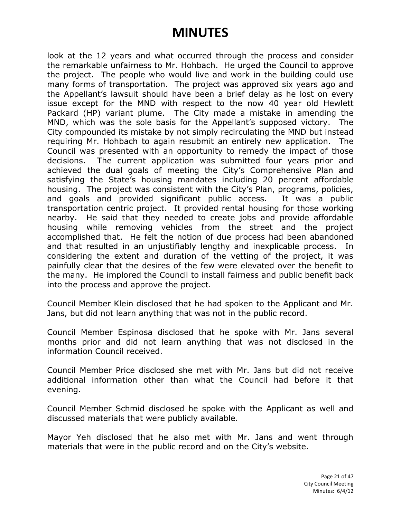look at the 12 years and what occurred through the process and consider the remarkable unfairness to Mr. Hohbach. He urged the Council to approve the project. The people who would live and work in the building could use many forms of transportation. The project was approved six years ago and the Appellant's lawsuit should have been a brief delay as he lost on every issue except for the MND with respect to the now 40 year old Hewlett Packard (HP) variant plume. The City made a mistake in amending the MND, which was the sole basis for the Appellant's supposed victory. The City compounded its mistake by not simply recirculating the MND but instead requiring Mr. Hohbach to again resubmit an entirely new application. The Council was presented with an opportunity to remedy the impact of those decisions. The current application was submitted four years prior and achieved the dual goals of meeting the City's Comprehensive Plan and satisfying the State's housing mandates including 20 percent affordable housing. The project was consistent with the City's Plan, programs, policies, and goals and provided significant public access. It was a public transportation centric project. It provided rental housing for those working nearby. He said that they needed to create jobs and provide affordable housing while removing vehicles from the street and the project accomplished that. He felt the notion of due process had been abandoned and that resulted in an unjustifiably lengthy and inexplicable process. In considering the extent and duration of the vetting of the project, it was painfully clear that the desires of the few were elevated over the benefit to the many. He implored the Council to install fairness and public benefit back into the process and approve the project.

Council Member Klein disclosed that he had spoken to the Applicant and Mr. Jans, but did not learn anything that was not in the public record.

Council Member Espinosa disclosed that he spoke with Mr. Jans several months prior and did not learn anything that was not disclosed in the information Council received.

Council Member Price disclosed she met with Mr. Jans but did not receive additional information other than what the Council had before it that evening.

Council Member Schmid disclosed he spoke with the Applicant as well and discussed materials that were publicly available.

Mayor Yeh disclosed that he also met with Mr. Jans and went through materials that were in the public record and on the City's website.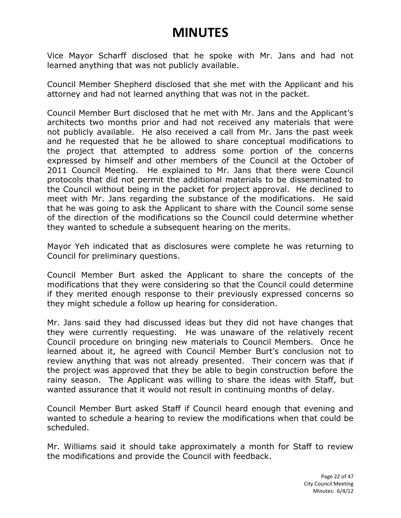Vice Mayor Scharff disclosed that he spoke with Mr. Jans and had not learned anything that was not publicly available.

Council Member Shepherd disclosed that she met with the Applicant and his attorney and had not learned anything that was not in the packet.

Council Member Burt disclosed that he met with Mr. Jans and the Applicant's architects two months prior and had not received any materials that were not publicly available. He also received a call from Mr. Jans the past week and he requested that he be allowed to share conceptual modifications to the project that attempted to address some portion of the concerns expressed by himself and other members of the Council at the October of 2011 Council Meeting. He explained to Mr. Jans that there were Council protocols that did not permit the additional materials to be disseminated to the Council without being in the packet for project approval. He declined to meet with Mr. Jans regarding the substance of the modifications. He said that he was going to ask the Applicant to share with the Council some sense of the direction of the modifications so the Council could determine whether they wanted to schedule a subsequent hearing on the merits.

Mayor Yeh indicated that as disclosures were complete he was returning to Council for preliminary questions.

Council Member Burt asked the Applicant to share the concepts of the modifications that they were considering so that the Council could determine if they merited enough response to their previously expressed concerns so they might schedule a follow up hearing for consideration.

Mr. Jans said they had discussed ideas but they did not have changes that they were currently requesting. He was unaware of the relatively recent Council procedure on bringing new materials to Council Members. Once he learned about it, he agreed with Council Member Burt's conclusion not to review anything that was not already presented. Their concern was that if the project was approved that they be able to begin construction before the rainy season. The Applicant was willing to share the ideas with Staff, but wanted assurance that it would not result in continuing months of delay.

Council Member Burt asked Staff if Council heard enough that evening and wanted to schedule a hearing to review the modifications when that could be scheduled.

Mr. Williams said it should take approximately a month for Staff to review the modifications and provide the Council with feedback.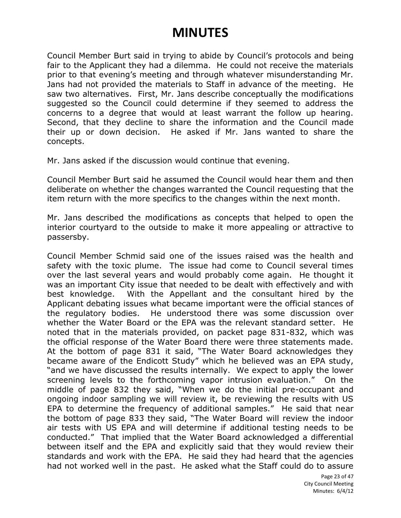Council Member Burt said in trying to abide by Council's protocols and being fair to the Applicant they had a dilemma. He could not receive the materials prior to that evening's meeting and through whatever misunderstanding Mr. Jans had not provided the materials to Staff in advance of the meeting. He saw two alternatives. First, Mr. Jans describe conceptually the modifications suggested so the Council could determine if they seemed to address the concerns to a degree that would at least warrant the follow up hearing. Second, that they decline to share the information and the Council made their up or down decision. He asked if Mr. Jans wanted to share the concepts.

Mr. Jans asked if the discussion would continue that evening.

Council Member Burt said he assumed the Council would hear them and then deliberate on whether the changes warranted the Council requesting that the item return with the more specifics to the changes within the next month.

Mr. Jans described the modifications as concepts that helped to open the interior courtyard to the outside to make it more appealing or attractive to passersby.

Council Member Schmid said one of the issues raised was the health and safety with the toxic plume. The issue had come to Council several times over the last several years and would probably come again. He thought it was an important City issue that needed to be dealt with effectively and with best knowledge. With the Appellant and the consultant hired by the Applicant debating issues what became important were the official stances of the regulatory bodies. He understood there was some discussion over whether the Water Board or the EPA was the relevant standard setter. He noted that in the materials provided, on packet page 831-832, which was the official response of the Water Board there were three statements made. At the bottom of page 831 it said, "The Water Board acknowledges they became aware of the Endicott Study" which he believed was an EPA study, "and we have discussed the results internally. We expect to apply the lower screening levels to the forthcoming vapor intrusion evaluation." On the middle of page 832 they said, "When we do the initial pre-occupant and ongoing indoor sampling we will review it, be reviewing the results with US EPA to determine the frequency of additional samples." He said that near the bottom of page 833 they said, "The Water Board will review the indoor air tests with US EPA and will determine if additional testing needs to be conducted." That implied that the Water Board acknowledged a differential between itself and the EPA and explicitly said that they would review their standards and work with the EPA. He said they had heard that the agencies had not worked well in the past. He asked what the Staff could do to assure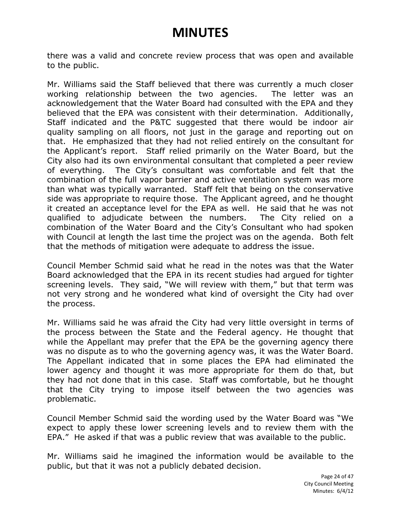there was a valid and concrete review process that was open and available to the public.

Mr. Williams said the Staff believed that there was currently a much closer working relationship between the two agencies. The letter was an acknowledgement that the Water Board had consulted with the EPA and they believed that the EPA was consistent with their determination. Additionally, Staff indicated and the P&TC suggested that there would be indoor air quality sampling on all floors, not just in the garage and reporting out on that. He emphasized that they had not relied entirely on the consultant for the Applicant's report. Staff relied primarily on the Water Board, but the City also had its own environmental consultant that completed a peer review of everything. The City's consultant was comfortable and felt that the combination of the full vapor barrier and active ventilation system was more than what was typically warranted. Staff felt that being on the conservative side was appropriate to require those. The Applicant agreed, and he thought it created an acceptance level for the EPA as well. He said that he was not qualified to adjudicate between the numbers. The City relied on a combination of the Water Board and the City's Consultant who had spoken with Council at length the last time the project was on the agenda. Both felt that the methods of mitigation were adequate to address the issue.

Council Member Schmid said what he read in the notes was that the Water Board acknowledged that the EPA in its recent studies had argued for tighter screening levels. They said, "We will review with them," but that term was not very strong and he wondered what kind of oversight the City had over the process.

Mr. Williams said he was afraid the City had very little oversight in terms of the process between the State and the Federal agency. He thought that while the Appellant may prefer that the EPA be the governing agency there was no dispute as to who the governing agency was, it was the Water Board. The Appellant indicated that in some places the EPA had eliminated the lower agency and thought it was more appropriate for them do that, but they had not done that in this case. Staff was comfortable, but he thought that the City trying to impose itself between the two agencies was problematic.

Council Member Schmid said the wording used by the Water Board was "We expect to apply these lower screening levels and to review them with the EPA." He asked if that was a public review that was available to the public.

Mr. Williams said he imagined the information would be available to the public, but that it was not a publicly debated decision.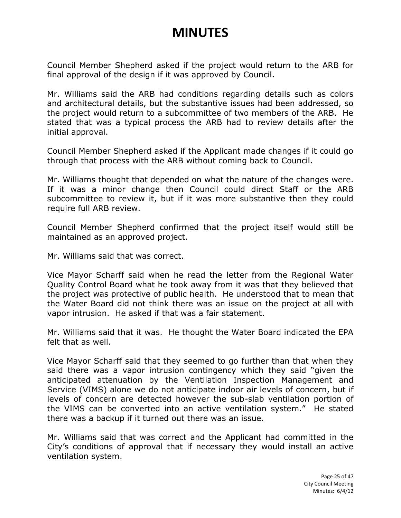Council Member Shepherd asked if the project would return to the ARB for final approval of the design if it was approved by Council.

Mr. Williams said the ARB had conditions regarding details such as colors and architectural details, but the substantive issues had been addressed, so the project would return to a subcommittee of two members of the ARB. He stated that was a typical process the ARB had to review details after the initial approval.

Council Member Shepherd asked if the Applicant made changes if it could go through that process with the ARB without coming back to Council.

Mr. Williams thought that depended on what the nature of the changes were. If it was a minor change then Council could direct Staff or the ARB subcommittee to review it, but if it was more substantive then they could require full ARB review.

Council Member Shepherd confirmed that the project itself would still be maintained as an approved project.

Mr. Williams said that was correct.

Vice Mayor Scharff said when he read the letter from the Regional Water Quality Control Board what he took away from it was that they believed that the project was protective of public health. He understood that to mean that the Water Board did not think there was an issue on the project at all with vapor intrusion. He asked if that was a fair statement.

Mr. Williams said that it was. He thought the Water Board indicated the EPA felt that as well.

Vice Mayor Scharff said that they seemed to go further than that when they said there was a vapor intrusion contingency which they said "given the anticipated attenuation by the Ventilation Inspection Management and Service (VIMS) alone we do not anticipate indoor air levels of concern, but if levels of concern are detected however the sub-slab ventilation portion of the VIMS can be converted into an active ventilation system." He stated there was a backup if it turned out there was an issue.

Mr. Williams said that was correct and the Applicant had committed in the City's conditions of approval that if necessary they would install an active ventilation system.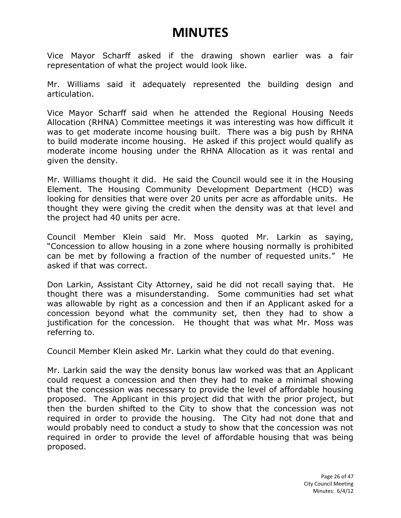Vice Mayor Scharff asked if the drawing shown earlier was a fair representation of what the project would look like.

Mr. Williams said it adequately represented the building design and articulation.

Vice Mayor Scharff said when he attended the Regional Housing Needs Allocation (RHNA) Committee meetings it was interesting was how difficult it was to get moderate income housing built. There was a big push by RHNA to build moderate income housing. He asked if this project would qualify as moderate income housing under the RHNA Allocation as it was rental and given the density.

Mr. Williams thought it did. He said the Council would see it in the Housing Element. The Housing Community Development Department (HCD) was looking for densities that were over 20 units per acre as affordable units. He thought they were giving the credit when the density was at that level and the project had 40 units per acre.

Council Member Klein said Mr. Moss quoted Mr. Larkin as saying, "Concession to allow housing in a zone where housing normally is prohibited can be met by following a fraction of the number of requested units." He asked if that was correct.

Don Larkin, Assistant City Attorney, said he did not recall saying that. He thought there was a misunderstanding. Some communities had set what was allowable by right as a concession and then if an Applicant asked for a concession beyond what the community set, then they had to show a justification for the concession. He thought that was what Mr. Moss was referring to.

Council Member Klein asked Mr. Larkin what they could do that evening.

Mr. Larkin said the way the density bonus law worked was that an Applicant could request a concession and then they had to make a minimal showing that the concession was necessary to provide the level of affordable housing proposed. The Applicant in this project did that with the prior project, but then the burden shifted to the City to show that the concession was not required in order to provide the housing. The City had not done that and would probably need to conduct a study to show that the concession was not required in order to provide the level of affordable housing that was being proposed.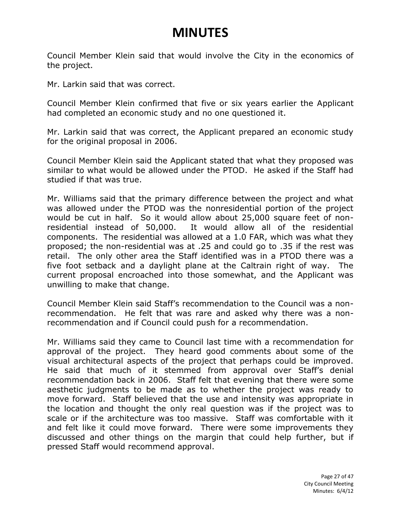Council Member Klein said that would involve the City in the economics of the project.

Mr. Larkin said that was correct.

Council Member Klein confirmed that five or six years earlier the Applicant had completed an economic study and no one questioned it.

Mr. Larkin said that was correct, the Applicant prepared an economic study for the original proposal in 2006.

Council Member Klein said the Applicant stated that what they proposed was similar to what would be allowed under the PTOD. He asked if the Staff had studied if that was true.

Mr. Williams said that the primary difference between the project and what was allowed under the PTOD was the nonresidential portion of the project would be cut in half. So it would allow about 25,000 square feet of nonresidential instead of 50,000. It would allow all of the residential components. The residential was allowed at a 1.0 FAR, which was what they proposed; the non-residential was at .25 and could go to .35 if the rest was retail. The only other area the Staff identified was in a PTOD there was a five foot setback and a daylight plane at the Caltrain right of way. The current proposal encroached into those somewhat, and the Applicant was unwilling to make that change.

Council Member Klein said Staff's recommendation to the Council was a nonrecommendation. He felt that was rare and asked why there was a nonrecommendation and if Council could push for a recommendation.

Mr. Williams said they came to Council last time with a recommendation for approval of the project. They heard good comments about some of the visual architectural aspects of the project that perhaps could be improved. He said that much of it stemmed from approval over Staff's denial recommendation back in 2006. Staff felt that evening that there were some aesthetic judgments to be made as to whether the project was ready to move forward. Staff believed that the use and intensity was appropriate in the location and thought the only real question was if the project was to scale or if the architecture was too massive. Staff was comfortable with it and felt like it could move forward. There were some improvements they discussed and other things on the margin that could help further, but if pressed Staff would recommend approval.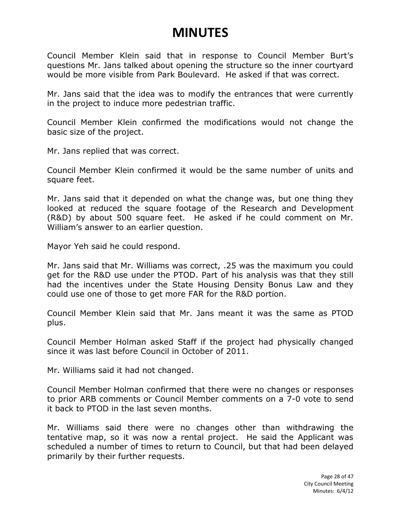Council Member Klein said that in response to Council Member Burt's questions Mr. Jans talked about opening the structure so the inner courtyard would be more visible from Park Boulevard. He asked if that was correct.

Mr. Jans said that the idea was to modify the entrances that were currently in the project to induce more pedestrian traffic.

Council Member Klein confirmed the modifications would not change the basic size of the project.

Mr. Jans replied that was correct.

Council Member Klein confirmed it would be the same number of units and square feet.

Mr. Jans said that it depended on what the change was, but one thing they looked at reduced the square footage of the Research and Development (R&D) by about 500 square feet. He asked if he could comment on Mr. William's answer to an earlier question.

Mayor Yeh said he could respond.

Mr. Jans said that Mr. Williams was correct, .25 was the maximum you could get for the R&D use under the PTOD. Part of his analysis was that they still had the incentives under the State Housing Density Bonus Law and they could use one of those to get more FAR for the R&D portion.

Council Member Klein said that Mr. Jans meant it was the same as PTOD plus.

Council Member Holman asked Staff if the project had physically changed since it was last before Council in October of 2011.

Mr. Williams said it had not changed.

Council Member Holman confirmed that there were no changes or responses to prior ARB comments or Council Member comments on a 7-0 vote to send it back to PTOD in the last seven months.

Mr. Williams said there were no changes other than withdrawing the tentative map, so it was now a rental project. He said the Applicant was scheduled a number of times to return to Council, but that had been delayed primarily by their further requests.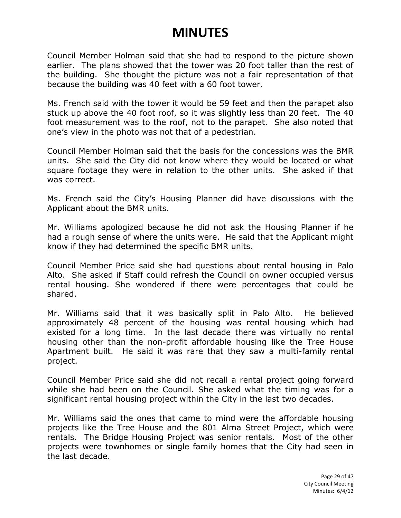Council Member Holman said that she had to respond to the picture shown earlier. The plans showed that the tower was 20 foot taller than the rest of the building. She thought the picture was not a fair representation of that because the building was 40 feet with a 60 foot tower.

Ms. French said with the tower it would be 59 feet and then the parapet also stuck up above the 40 foot roof, so it was slightly less than 20 feet. The 40 foot measurement was to the roof, not to the parapet. She also noted that one's view in the photo was not that of a pedestrian.

Council Member Holman said that the basis for the concessions was the BMR units. She said the City did not know where they would be located or what square footage they were in relation to the other units. She asked if that was correct.

Ms. French said the City's Housing Planner did have discussions with the Applicant about the BMR units.

Mr. Williams apologized because he did not ask the Housing Planner if he had a rough sense of where the units were. He said that the Applicant might know if they had determined the specific BMR units.

Council Member Price said she had questions about rental housing in Palo Alto. She asked if Staff could refresh the Council on owner occupied versus rental housing. She wondered if there were percentages that could be shared.

Mr. Williams said that it was basically split in Palo Alto. He believed approximately 48 percent of the housing was rental housing which had existed for a long time. In the last decade there was virtually no rental housing other than the non-profit affordable housing like the Tree House Apartment built. He said it was rare that they saw a multi-family rental project.

Council Member Price said she did not recall a rental project going forward while she had been on the Council. She asked what the timing was for a significant rental housing project within the City in the last two decades.

Mr. Williams said the ones that came to mind were the affordable housing projects like the Tree House and the 801 Alma Street Project, which were rentals. The Bridge Housing Project was senior rentals. Most of the other projects were townhomes or single family homes that the City had seen in the last decade.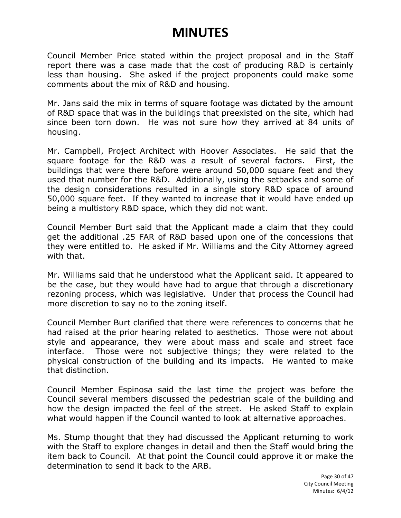Council Member Price stated within the project proposal and in the Staff report there was a case made that the cost of producing R&D is certainly less than housing. She asked if the project proponents could make some comments about the mix of R&D and housing.

Mr. Jans said the mix in terms of square footage was dictated by the amount of R&D space that was in the buildings that preexisted on the site, which had since been torn down. He was not sure how they arrived at 84 units of housing.

Mr. Campbell, Project Architect with Hoover Associates. He said that the square footage for the R&D was a result of several factors. First, the buildings that were there before were around 50,000 square feet and they used that number for the R&D. Additionally, using the setbacks and some of the design considerations resulted in a single story R&D space of around 50,000 square feet. If they wanted to increase that it would have ended up being a multistory R&D space, which they did not want.

Council Member Burt said that the Applicant made a claim that they could get the additional .25 FAR of R&D based upon one of the concessions that they were entitled to. He asked if Mr. Williams and the City Attorney agreed with that.

Mr. Williams said that he understood what the Applicant said. It appeared to be the case, but they would have had to argue that through a discretionary rezoning process, which was legislative. Under that process the Council had more discretion to say no to the zoning itself.

Council Member Burt clarified that there were references to concerns that he had raised at the prior hearing related to aesthetics. Those were not about style and appearance, they were about mass and scale and street face interface. Those were not subjective things; they were related to the physical construction of the building and its impacts. He wanted to make that distinction.

Council Member Espinosa said the last time the project was before the Council several members discussed the pedestrian scale of the building and how the design impacted the feel of the street. He asked Staff to explain what would happen if the Council wanted to look at alternative approaches.

Ms. Stump thought that they had discussed the Applicant returning to work with the Staff to explore changes in detail and then the Staff would bring the item back to Council. At that point the Council could approve it or make the determination to send it back to the ARB.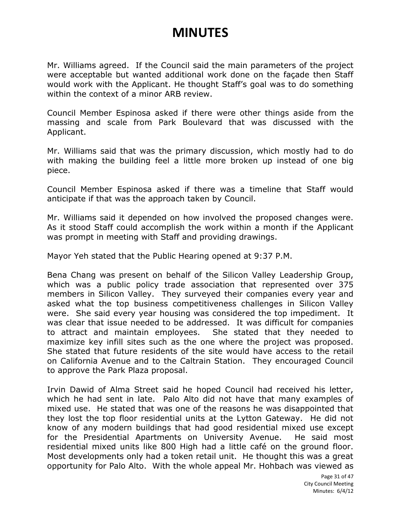Mr. Williams agreed. If the Council said the main parameters of the project were acceptable but wanted additional work done on the façade then Staff would work with the Applicant. He thought Staff's goal was to do something within the context of a minor ARB review.

Council Member Espinosa asked if there were other things aside from the massing and scale from Park Boulevard that was discussed with the Applicant.

Mr. Williams said that was the primary discussion, which mostly had to do with making the building feel a little more broken up instead of one big piece.

Council Member Espinosa asked if there was a timeline that Staff would anticipate if that was the approach taken by Council.

Mr. Williams said it depended on how involved the proposed changes were. As it stood Staff could accomplish the work within a month if the Applicant was prompt in meeting with Staff and providing drawings.

Mayor Yeh stated that the Public Hearing opened at 9:37 P.M.

Bena Chang was present on behalf of the Silicon Valley Leadership Group, which was a public policy trade association that represented over 375 members in Silicon Valley. They surveyed their companies every year and asked what the top business competitiveness challenges in Silicon Valley were. She said every year housing was considered the top impediment. It was clear that issue needed to be addressed. It was difficult for companies to attract and maintain employees. She stated that they needed to maximize key infill sites such as the one where the project was proposed. She stated that future residents of the site would have access to the retail on California Avenue and to the Caltrain Station. They encouraged Council to approve the Park Plaza proposal.

Irvin Dawid of Alma Street said he hoped Council had received his letter, which he had sent in late. Palo Alto did not have that many examples of mixed use. He stated that was one of the reasons he was disappointed that they lost the top floor residential units at the Lytton Gateway. He did not know of any modern buildings that had good residential mixed use except for the Presidential Apartments on University Avenue. He said most residential mixed units like 800 High had a little café on the ground floor. Most developments only had a token retail unit. He thought this was a great opportunity for Palo Alto. With the whole appeal Mr. Hohbach was viewed as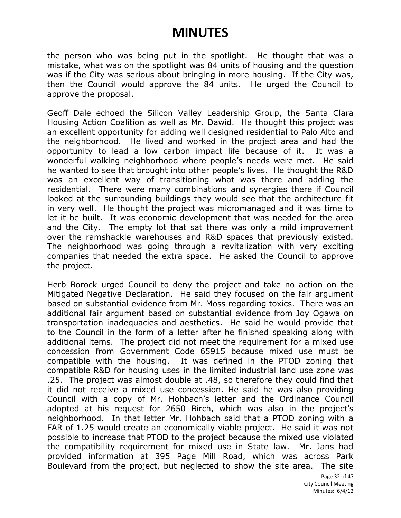the person who was being put in the spotlight. He thought that was a mistake, what was on the spotlight was 84 units of housing and the question was if the City was serious about bringing in more housing. If the City was, then the Council would approve the 84 units. He urged the Council to approve the proposal.

Geoff Dale echoed the Silicon Valley Leadership Group, the Santa Clara Housing Action Coalition as well as Mr. Dawid. He thought this project was an excellent opportunity for adding well designed residential to Palo Alto and the neighborhood. He lived and worked in the project area and had the opportunity to lead a low carbon impact life because of it. It was a wonderful walking neighborhood where people's needs were met. He said he wanted to see that brought into other people's lives. He thought the R&D was an excellent way of transitioning what was there and adding the residential. There were many combinations and synergies there if Council looked at the surrounding buildings they would see that the architecture fit in very well. He thought the project was micromanaged and it was time to let it be built. It was economic development that was needed for the area and the City. The empty lot that sat there was only a mild improvement over the ramshackle warehouses and R&D spaces that previously existed. The neighborhood was going through a revitalization with very exciting companies that needed the extra space. He asked the Council to approve the project.

Herb Borock urged Council to deny the project and take no action on the Mitigated Negative Declaration. He said they focused on the fair argument based on substantial evidence from Mr. Moss regarding toxics. There was an additional fair argument based on substantial evidence from Joy Ogawa on transportation inadequacies and aesthetics. He said he would provide that to the Council in the form of a letter after he finished speaking along with additional items. The project did not meet the requirement for a mixed use concession from Government Code 65915 because mixed use must be compatible with the housing. It was defined in the PTOD zoning that compatible R&D for housing uses in the limited industrial land use zone was .25. The project was almost double at .48, so therefore they could find that it did not receive a mixed use concession. He said he was also providing Council with a copy of Mr. Hohbach's letter and the Ordinance Council adopted at his request for 2650 Birch, which was also in the project's neighborhood. In that letter Mr. Hohbach said that a PTOD zoning with a FAR of 1.25 would create an economically viable project. He said it was not possible to increase that PTOD to the project because the mixed use violated the compatibility requirement for mixed use in State law. Mr. Jans had provided information at 395 Page Mill Road, which was across Park Boulevard from the project, but neglected to show the site area. The site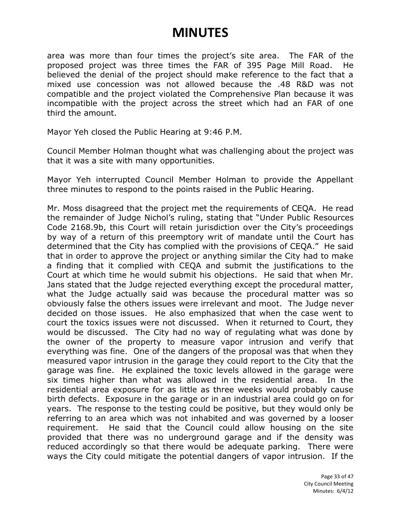area was more than four times the project's site area. The FAR of the proposed project was three times the FAR of 395 Page Mill Road. He believed the denial of the project should make reference to the fact that a mixed use concession was not allowed because the .48 R&D was not compatible and the project violated the Comprehensive Plan because it was incompatible with the project across the street which had an FAR of one third the amount.

Mayor Yeh closed the Public Hearing at 9:46 P.M.

Council Member Holman thought what was challenging about the project was that it was a site with many opportunities.

Mayor Yeh interrupted Council Member Holman to provide the Appellant three minutes to respond to the points raised in the Public Hearing.

Mr. Moss disagreed that the project met the requirements of CEQA. He read the remainder of Judge Nichol's ruling, stating that "Under Public Resources Code 2168.9b, this Court will retain jurisdiction over the City's proceedings by way of a return of this preemptory writ of mandate until the Court has determined that the City has complied with the provisions of CEQA." He said that in order to approve the project or anything similar the City had to make a finding that it complied with CEQA and submit the justifications to the Court at which time he would submit his objections. He said that when Mr. Jans stated that the Judge rejected everything except the procedural matter, what the Judge actually said was because the procedural matter was so obviously false the others issues were irrelevant and moot. The Judge never decided on those issues. He also emphasized that when the case went to court the toxics issues were not discussed. When it returned to Court, they would be discussed. The City had no way of regulating what was done by the owner of the property to measure vapor intrusion and verify that everything was fine. One of the dangers of the proposal was that when they measured vapor intrusion in the garage they could report to the City that the garage was fine. He explained the toxic levels allowed in the garage were six times higher than what was allowed in the residential area. In the residential area exposure for as little as three weeks would probably cause birth defects. Exposure in the garage or in an industrial area could go on for years. The response to the testing could be positive, but they would only be referring to an area which was not inhabited and was governed by a looser requirement. He said that the Council could allow housing on the site provided that there was no underground garage and if the density was reduced accordingly so that there would be adequate parking. There were ways the City could mitigate the potential dangers of vapor intrusion. If the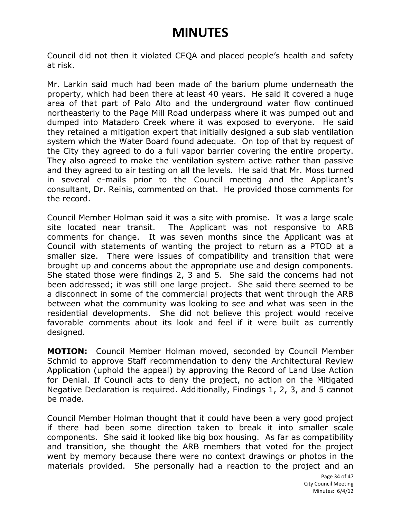Council did not then it violated CEQA and placed people's health and safety at risk.

Mr. Larkin said much had been made of the barium plume underneath the property, which had been there at least 40 years. He said it covered a huge area of that part of Palo Alto and the underground water flow continued northeasterly to the Page Mill Road underpass where it was pumped out and dumped into Matadero Creek where it was exposed to everyone. He said they retained a mitigation expert that initially designed a sub slab ventilation system which the Water Board found adequate. On top of that by request of the City they agreed to do a full vapor barrier covering the entire property. They also agreed to make the ventilation system active rather than passive and they agreed to air testing on all the levels. He said that Mr. Moss turned in several e-mails prior to the Council meeting and the Applicant's consultant, Dr. Reinis, commented on that. He provided those comments for the record.

Council Member Holman said it was a site with promise. It was a large scale site located near transit. The Applicant was not responsive to ARB comments for change. It was seven months since the Applicant was at Council with statements of wanting the project to return as a PTOD at a smaller size. There were issues of compatibility and transition that were brought up and concerns about the appropriate use and design components. She stated those were findings 2, 3 and 5. She said the concerns had not been addressed; it was still one large project. She said there seemed to be a disconnect in some of the commercial projects that went through the ARB between what the community was looking to see and what was seen in the residential developments. She did not believe this project would receive favorable comments about its look and feel if it were built as currently designed.

**MOTION:** Council Member Holman moved, seconded by Council Member Schmid to approve Staff recommendation to deny the Architectural Review Application (uphold the appeal) by approving the Record of Land Use Action for Denial. If Council acts to deny the project, no action on the Mitigated Negative Declaration is required. Additionally, Findings 1, 2, 3, and 5 cannot be made.

Council Member Holman thought that it could have been a very good project if there had been some direction taken to break it into smaller scale components. She said it looked like big box housing. As far as compatibility and transition, she thought the ARB members that voted for the project went by memory because there were no context drawings or photos in the materials provided. She personally had a reaction to the project and an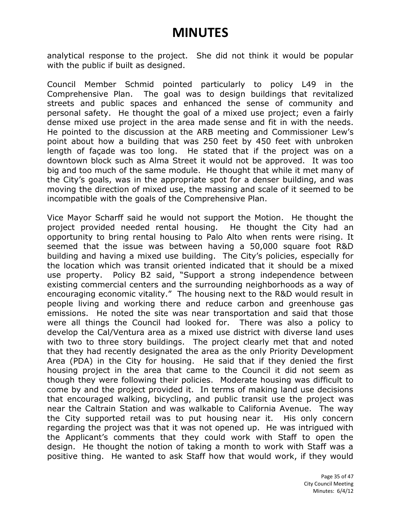analytical response to the project. She did not think it would be popular with the public if built as designed.

Council Member Schmid pointed particularly to policy L49 in the Comprehensive Plan. The goal was to design buildings that revitalized streets and public spaces and enhanced the sense of community and personal safety. He thought the goal of a mixed use project; even a fairly dense mixed use project in the area made sense and fit in with the needs. He pointed to the discussion at the ARB meeting and Commissioner Lew's point about how a building that was 250 feet by 450 feet with unbroken length of façade was too long. He stated that if the project was on a downtown block such as Alma Street it would not be approved. It was too big and too much of the same module. He thought that while it met many of the City's goals, was in the appropriate spot for a denser building, and was moving the direction of mixed use, the massing and scale of it seemed to be incompatible with the goals of the Comprehensive Plan.

Vice Mayor Scharff said he would not support the Motion. He thought the project provided needed rental housing. He thought the City had an opportunity to bring rental housing to Palo Alto when rents were rising. It seemed that the issue was between having a 50,000 square foot R&D building and having a mixed use building. The City's policies, especially for the location which was transit oriented indicated that it should be a mixed use property. Policy B2 said, "Support a strong independence between existing commercial centers and the surrounding neighborhoods as a way of encouraging economic vitality." The housing next to the R&D would result in people living and working there and reduce carbon and greenhouse gas emissions. He noted the site was near transportation and said that those were all things the Council had looked for. There was also a policy to develop the Cal/Ventura area as a mixed use district with diverse land uses with two to three story buildings. The project clearly met that and noted that they had recently designated the area as the only Priority Development Area (PDA) in the City for housing. He said that if they denied the first housing project in the area that came to the Council it did not seem as though they were following their policies. Moderate housing was difficult to come by and the project provided it. In terms of making land use decisions that encouraged walking, bicycling, and public transit use the project was near the Caltrain Station and was walkable to California Avenue. The way the City supported retail was to put housing near it. His only concern regarding the project was that it was not opened up. He was intrigued with the Applicant's comments that they could work with Staff to open the design. He thought the notion of taking a month to work with Staff was a positive thing. He wanted to ask Staff how that would work, if they would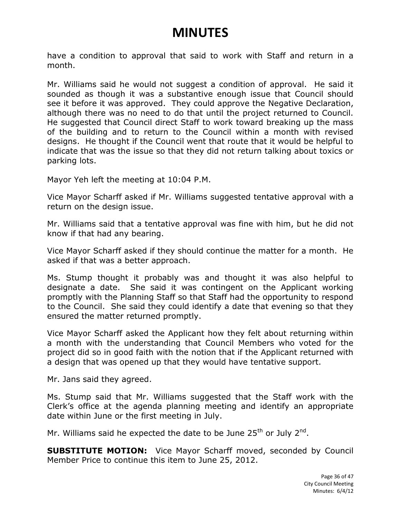have a condition to approval that said to work with Staff and return in a month.

Mr. Williams said he would not suggest a condition of approval. He said it sounded as though it was a substantive enough issue that Council should see it before it was approved. They could approve the Negative Declaration, although there was no need to do that until the project returned to Council. He suggested that Council direct Staff to work toward breaking up the mass of the building and to return to the Council within a month with revised designs. He thought if the Council went that route that it would be helpful to indicate that was the issue so that they did not return talking about toxics or parking lots.

Mayor Yeh left the meeting at 10:04 P.M.

Vice Mayor Scharff asked if Mr. Williams suggested tentative approval with a return on the design issue.

Mr. Williams said that a tentative approval was fine with him, but he did not know if that had any bearing.

Vice Mayor Scharff asked if they should continue the matter for a month. He asked if that was a better approach.

Ms. Stump thought it probably was and thought it was also helpful to designate a date. She said it was contingent on the Applicant working promptly with the Planning Staff so that Staff had the opportunity to respond to the Council. She said they could identify a date that evening so that they ensured the matter returned promptly.

Vice Mayor Scharff asked the Applicant how they felt about returning within a month with the understanding that Council Members who voted for the project did so in good faith with the notion that if the Applicant returned with a design that was opened up that they would have tentative support.

Mr. Jans said they agreed.

Ms. Stump said that Mr. Williams suggested that the Staff work with the Clerk's office at the agenda planning meeting and identify an appropriate date within June or the first meeting in July.

Mr. Williams said he expected the date to be June 25<sup>th</sup> or July 2<sup>nd</sup>.

**SUBSTITUTE MOTION:** Vice Mayor Scharff moved, seconded by Council Member Price to continue this item to June 25, 2012.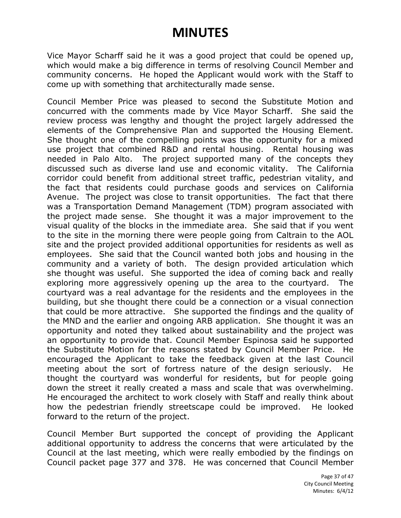Vice Mayor Scharff said he it was a good project that could be opened up, which would make a big difference in terms of resolving Council Member and community concerns. He hoped the Applicant would work with the Staff to come up with something that architecturally made sense.

Council Member Price was pleased to second the Substitute Motion and concurred with the comments made by Vice Mayor Scharff. She said the review process was lengthy and thought the project largely addressed the elements of the Comprehensive Plan and supported the Housing Element. She thought one of the compelling points was the opportunity for a mixed use project that combined R&D and rental housing. Rental housing was needed in Palo Alto. The project supported many of the concepts they discussed such as diverse land use and economic vitality. The California corridor could benefit from additional street traffic, pedestrian vitality, and the fact that residents could purchase goods and services on California Avenue. The project was close to transit opportunities. The fact that there was a Transportation Demand Management (TDM) program associated with the project made sense. She thought it was a major improvement to the visual quality of the blocks in the immediate area. She said that if you went to the site in the morning there were people going from Caltrain to the AOL site and the project provided additional opportunities for residents as well as employees. She said that the Council wanted both jobs and housing in the community and a variety of both. The design provided articulation which she thought was useful. She supported the idea of coming back and really exploring more aggressively opening up the area to the courtyard. The courtyard was a real advantage for the residents and the employees in the building, but she thought there could be a connection or a visual connection that could be more attractive. She supported the findings and the quality of the MND and the earlier and ongoing ARB application. She thought it was an opportunity and noted they talked about sustainability and the project was an opportunity to provide that. Council Member Espinosa said he supported the Substitute Motion for the reasons stated by Council Member Price. He encouraged the Applicant to take the feedback given at the last Council meeting about the sort of fortress nature of the design seriously. He thought the courtyard was wonderful for residents, but for people going down the street it really created a mass and scale that was overwhelming. He encouraged the architect to work closely with Staff and really think about how the pedestrian friendly streetscape could be improved. He looked forward to the return of the project.

Council Member Burt supported the concept of providing the Applicant additional opportunity to address the concerns that were articulated by the Council at the last meeting, which were really embodied by the findings on Council packet page 377 and 378. He was concerned that Council Member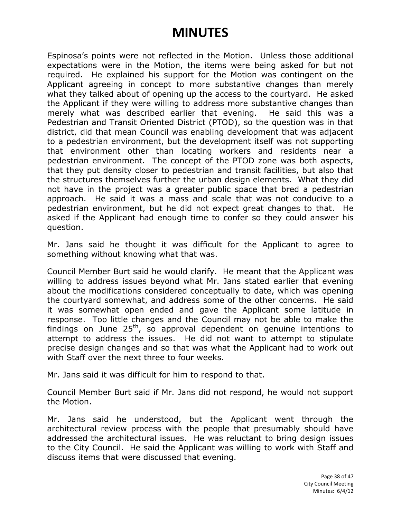Espinosa's points were not reflected in the Motion. Unless those additional expectations were in the Motion, the items were being asked for but not required. He explained his support for the Motion was contingent on the Applicant agreeing in concept to more substantive changes than merely what they talked about of opening up the access to the courtyard. He asked the Applicant if they were willing to address more substantive changes than merely what was described earlier that evening. He said this was a Pedestrian and Transit Oriented District (PTOD), so the question was in that district, did that mean Council was enabling development that was adjacent to a pedestrian environment, but the development itself was not supporting that environment other than locating workers and residents near a pedestrian environment. The concept of the PTOD zone was both aspects, that they put density closer to pedestrian and transit facilities, but also that the structures themselves further the urban design elements. What they did not have in the project was a greater public space that bred a pedestrian approach. He said it was a mass and scale that was not conducive to a pedestrian environment, but he did not expect great changes to that. He asked if the Applicant had enough time to confer so they could answer his question.

Mr. Jans said he thought it was difficult for the Applicant to agree to something without knowing what that was.

Council Member Burt said he would clarify. He meant that the Applicant was willing to address issues beyond what Mr. Jans stated earlier that evening about the modifications considered conceptually to date, which was opening the courtyard somewhat, and address some of the other concerns. He said it was somewhat open ended and gave the Applicant some latitude in response. Too little changes and the Council may not be able to make the findings on June  $25<sup>th</sup>$ , so approval dependent on genuine intentions to attempt to address the issues. He did not want to attempt to stipulate precise design changes and so that was what the Applicant had to work out with Staff over the next three to four weeks.

Mr. Jans said it was difficult for him to respond to that.

Council Member Burt said if Mr. Jans did not respond, he would not support the Motion.

Mr. Jans said he understood, but the Applicant went through the architectural review process with the people that presumably should have addressed the architectural issues. He was reluctant to bring design issues to the City Council. He said the Applicant was willing to work with Staff and discuss items that were discussed that evening.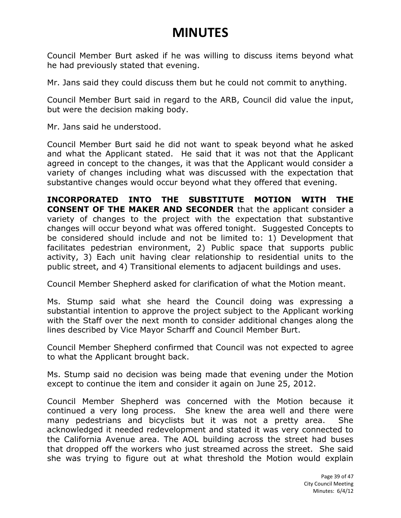Council Member Burt asked if he was willing to discuss items beyond what he had previously stated that evening.

Mr. Jans said they could discuss them but he could not commit to anything.

Council Member Burt said in regard to the ARB, Council did value the input, but were the decision making body.

Mr. Jans said he understood.

Council Member Burt said he did not want to speak beyond what he asked and what the Applicant stated. He said that it was not that the Applicant agreed in concept to the changes, it was that the Applicant would consider a variety of changes including what was discussed with the expectation that substantive changes would occur beyond what they offered that evening.

**INCORPORATED INTO THE SUBSTITUTE MOTION WITH THE CONSENT OF THE MAKER AND SECONDER** that the applicant consider a variety of changes to the project with the expectation that substantive changes will occur beyond what was offered tonight. Suggested Concepts to be considered should include and not be limited to: 1) Development that facilitates pedestrian environment, 2) Public space that supports public activity, 3) Each unit having clear relationship to residential units to the public street, and 4) Transitional elements to adjacent buildings and uses.

Council Member Shepherd asked for clarification of what the Motion meant.

Ms. Stump said what she heard the Council doing was expressing a substantial intention to approve the project subject to the Applicant working with the Staff over the next month to consider additional changes along the lines described by Vice Mayor Scharff and Council Member Burt.

Council Member Shepherd confirmed that Council was not expected to agree to what the Applicant brought back.

Ms. Stump said no decision was being made that evening under the Motion except to continue the item and consider it again on June 25, 2012.

Council Member Shepherd was concerned with the Motion because it continued a very long process. She knew the area well and there were many pedestrians and bicyclists but it was not a pretty area. She acknowledged it needed redevelopment and stated it was very connected to the California Avenue area. The AOL building across the street had buses that dropped off the workers who just streamed across the street. She said she was trying to figure out at what threshold the Motion would explain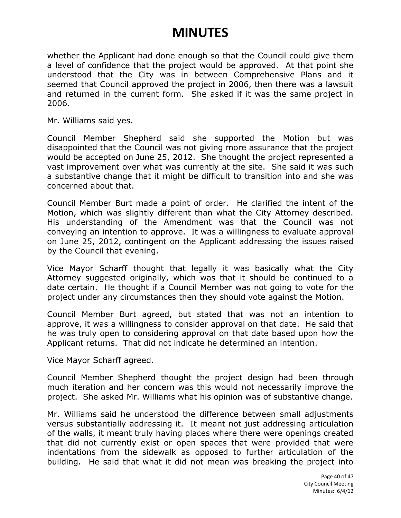whether the Applicant had done enough so that the Council could give them a level of confidence that the project would be approved. At that point she understood that the City was in between Comprehensive Plans and it seemed that Council approved the project in 2006, then there was a lawsuit and returned in the current form. She asked if it was the same project in 2006.

Mr. Williams said yes.

Council Member Shepherd said she supported the Motion but was disappointed that the Council was not giving more assurance that the project would be accepted on June 25, 2012. She thought the project represented a vast improvement over what was currently at the site. She said it was such a substantive change that it might be difficult to transition into and she was concerned about that.

Council Member Burt made a point of order. He clarified the intent of the Motion, which was slightly different than what the City Attorney described. His understanding of the Amendment was that the Council was not conveying an intention to approve. It was a willingness to evaluate approval on June 25, 2012, contingent on the Applicant addressing the issues raised by the Council that evening.

Vice Mayor Scharff thought that legally it was basically what the City Attorney suggested originally, which was that it should be continued to a date certain. He thought if a Council Member was not going to vote for the project under any circumstances then they should vote against the Motion.

Council Member Burt agreed, but stated that was not an intention to approve, it was a willingness to consider approval on that date. He said that he was truly open to considering approval on that date based upon how the Applicant returns. That did not indicate he determined an intention.

Vice Mayor Scharff agreed.

Council Member Shepherd thought the project design had been through much iteration and her concern was this would not necessarily improve the project. She asked Mr. Williams what his opinion was of substantive change.

Mr. Williams said he understood the difference between small adjustments versus substantially addressing it. It meant not just addressing articulation of the walls, it meant truly having places where there were openings created that did not currently exist or open spaces that were provided that were indentations from the sidewalk as opposed to further articulation of the building. He said that what it did not mean was breaking the project into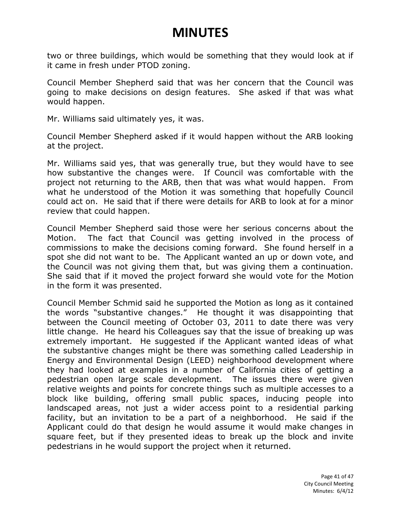two or three buildings, which would be something that they would look at if it came in fresh under PTOD zoning.

Council Member Shepherd said that was her concern that the Council was going to make decisions on design features. She asked if that was what would happen.

Mr. Williams said ultimately yes, it was.

Council Member Shepherd asked if it would happen without the ARB looking at the project.

Mr. Williams said yes, that was generally true, but they would have to see how substantive the changes were. If Council was comfortable with the project not returning to the ARB, then that was what would happen. From what he understood of the Motion it was something that hopefully Council could act on. He said that if there were details for ARB to look at for a minor review that could happen.

Council Member Shepherd said those were her serious concerns about the Motion. The fact that Council was getting involved in the process of commissions to make the decisions coming forward. She found herself in a spot she did not want to be. The Applicant wanted an up or down vote, and the Council was not giving them that, but was giving them a continuation. She said that if it moved the project forward she would vote for the Motion in the form it was presented.

Council Member Schmid said he supported the Motion as long as it contained the words "substantive changes." He thought it was disappointing that between the Council meeting of October 03, 2011 to date there was very little change. He heard his Colleagues say that the issue of breaking up was extremely important. He suggested if the Applicant wanted ideas of what the substantive changes might be there was something called Leadership in Energy and Environmental Design (LEED) neighborhood development where they had looked at examples in a number of California cities of getting a pedestrian open large scale development. The issues there were given relative weights and points for concrete things such as multiple accesses to a block like building, offering small public spaces, inducing people into landscaped areas, not just a wider access point to a residential parking facility, but an invitation to be a part of a neighborhood. He said if the Applicant could do that design he would assume it would make changes in square feet, but if they presented ideas to break up the block and invite pedestrians in he would support the project when it returned.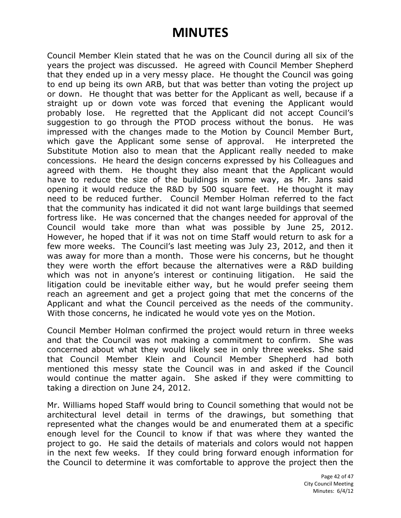Council Member Klein stated that he was on the Council during all six of the years the project was discussed. He agreed with Council Member Shepherd that they ended up in a very messy place. He thought the Council was going to end up being its own ARB, but that was better than voting the project up or down. He thought that was better for the Applicant as well, because if a straight up or down vote was forced that evening the Applicant would probably lose. He regretted that the Applicant did not accept Council's suggestion to go through the PTOD process without the bonus. He was impressed with the changes made to the Motion by Council Member Burt, which gave the Applicant some sense of approval. He interpreted the Substitute Motion also to mean that the Applicant really needed to make concessions. He heard the design concerns expressed by his Colleagues and agreed with them. He thought they also meant that the Applicant would have to reduce the size of the buildings in some way, as Mr. Jans said opening it would reduce the R&D by 500 square feet. He thought it may need to be reduced further. Council Member Holman referred to the fact that the community has indicated it did not want large buildings that seemed fortress like. He was concerned that the changes needed for approval of the Council would take more than what was possible by June 25, 2012. However, he hoped that if it was not on time Staff would return to ask for a few more weeks. The Council's last meeting was July 23, 2012, and then it was away for more than a month. Those were his concerns, but he thought they were worth the effort because the alternatives were a R&D building which was not in anyone's interest or continuing litigation. He said the litigation could be inevitable either way, but he would prefer seeing them reach an agreement and get a project going that met the concerns of the Applicant and what the Council perceived as the needs of the community. With those concerns, he indicated he would vote yes on the Motion.

Council Member Holman confirmed the project would return in three weeks and that the Council was not making a commitment to confirm. She was concerned about what they would likely see in only three weeks. She said that Council Member Klein and Council Member Shepherd had both mentioned this messy state the Council was in and asked if the Council would continue the matter again. She asked if they were committing to taking a direction on June 24, 2012.

Mr. Williams hoped Staff would bring to Council something that would not be architectural level detail in terms of the drawings, but something that represented what the changes would be and enumerated them at a specific enough level for the Council to know if that was where they wanted the project to go. He said the details of materials and colors would not happen in the next few weeks. If they could bring forward enough information for the Council to determine it was comfortable to approve the project then the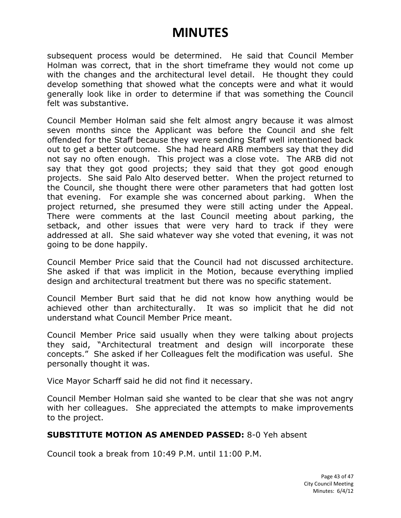subsequent process would be determined. He said that Council Member Holman was correct, that in the short timeframe they would not come up with the changes and the architectural level detail. He thought they could develop something that showed what the concepts were and what it would generally look like in order to determine if that was something the Council felt was substantive.

Council Member Holman said she felt almost angry because it was almost seven months since the Applicant was before the Council and she felt offended for the Staff because they were sending Staff well intentioned back out to get a better outcome. She had heard ARB members say that they did not say no often enough. This project was a close vote. The ARB did not say that they got good projects; they said that they got good enough projects. She said Palo Alto deserved better. When the project returned to the Council, she thought there were other parameters that had gotten lost that evening. For example she was concerned about parking. When the project returned, she presumed they were still acting under the Appeal. There were comments at the last Council meeting about parking, the setback, and other issues that were very hard to track if they were addressed at all. She said whatever way she voted that evening, it was not going to be done happily.

Council Member Price said that the Council had not discussed architecture. She asked if that was implicit in the Motion, because everything implied design and architectural treatment but there was no specific statement.

Council Member Burt said that he did not know how anything would be achieved other than architecturally. It was so implicit that he did not understand what Council Member Price meant.

Council Member Price said usually when they were talking about projects they said, "Architectural treatment and design will incorporate these concepts." She asked if her Colleagues felt the modification was useful. She personally thought it was.

Vice Mayor Scharff said he did not find it necessary.

Council Member Holman said she wanted to be clear that she was not angry with her colleagues. She appreciated the attempts to make improvements to the project.

#### **SUBSTITUTE MOTION AS AMENDED PASSED:** 8-0 Yeh absent

Council took a break from 10:49 P.M. until 11:00 P.M.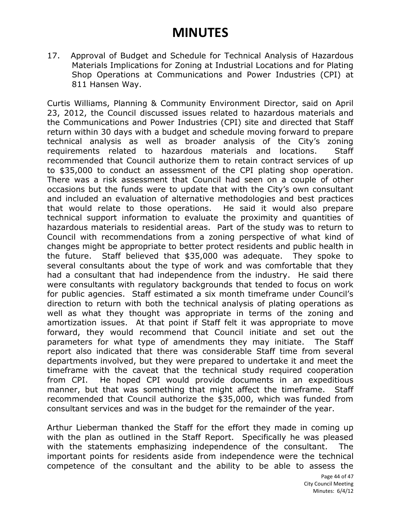17. Approval of Budget and Schedule for Technical Analysis of Hazardous Materials Implications for Zoning at Industrial Locations and for Plating Shop Operations at Communications and Power Industries (CPI) at 811 Hansen Way.

Curtis Williams, Planning & Community Environment Director, said on April 23, 2012, the Council discussed issues related to hazardous materials and the Communications and Power Industries (CPI) site and directed that Staff return within 30 days with a budget and schedule moving forward to prepare technical analysis as well as broader analysis of the City's zoning requirements related to hazardous materials and locations. Staff recommended that Council authorize them to retain contract services of up to \$35,000 to conduct an assessment of the CPI plating shop operation. There was a risk assessment that Council had seen on a couple of other occasions but the funds were to update that with the City's own consultant and included an evaluation of alternative methodologies and best practices that would relate to those operations. He said it would also prepare technical support information to evaluate the proximity and quantities of hazardous materials to residential areas. Part of the study was to return to Council with recommendations from a zoning perspective of what kind of changes might be appropriate to better protect residents and public health in the future. Staff believed that \$35,000 was adequate. They spoke to several consultants about the type of work and was comfortable that they had a consultant that had independence from the industry. He said there were consultants with regulatory backgrounds that tended to focus on work for public agencies. Staff estimated a six month timeframe under Council's direction to return with both the technical analysis of plating operations as well as what they thought was appropriate in terms of the zoning and amortization issues. At that point if Staff felt it was appropriate to move forward, they would recommend that Council initiate and set out the parameters for what type of amendments they may initiate. The Staff report also indicated that there was considerable Staff time from several departments involved, but they were prepared to undertake it and meet the timeframe with the caveat that the technical study required cooperation from CPI. He hoped CPI would provide documents in an expeditious manner, but that was something that might affect the timeframe. Staff recommended that Council authorize the \$35,000, which was funded from consultant services and was in the budget for the remainder of the year.

Arthur Lieberman thanked the Staff for the effort they made in coming up with the plan as outlined in the Staff Report. Specifically he was pleased with the statements emphasizing independence of the consultant. The important points for residents aside from independence were the technical competence of the consultant and the ability to be able to assess the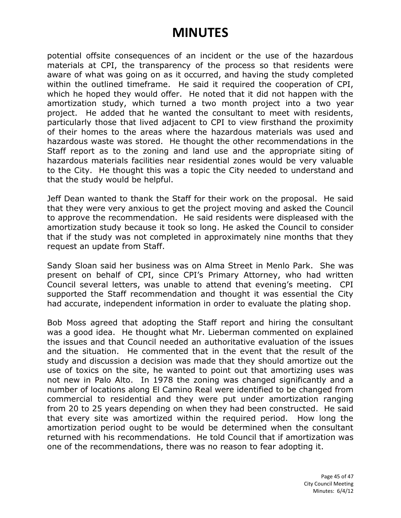potential offsite consequences of an incident or the use of the hazardous materials at CPI, the transparency of the process so that residents were aware of what was going on as it occurred, and having the study completed within the outlined timeframe. He said it required the cooperation of CPI, which he hoped they would offer. He noted that it did not happen with the amortization study, which turned a two month project into a two year project. He added that he wanted the consultant to meet with residents, particularly those that lived adjacent to CPI to view firsthand the proximity of their homes to the areas where the hazardous materials was used and hazardous waste was stored. He thought the other recommendations in the Staff report as to the zoning and land use and the appropriate siting of hazardous materials facilities near residential zones would be very valuable to the City. He thought this was a topic the City needed to understand and that the study would be helpful.

Jeff Dean wanted to thank the Staff for their work on the proposal. He said that they were very anxious to get the project moving and asked the Council to approve the recommendation. He said residents were displeased with the amortization study because it took so long. He asked the Council to consider that if the study was not completed in approximately nine months that they request an update from Staff.

Sandy Sloan said her business was on Alma Street in Menlo Park. She was present on behalf of CPI, since CPI's Primary Attorney, who had written Council several letters, was unable to attend that evening's meeting. CPI supported the Staff recommendation and thought it was essential the City had accurate, independent information in order to evaluate the plating shop.

Bob Moss agreed that adopting the Staff report and hiring the consultant was a good idea. He thought what Mr. Lieberman commented on explained the issues and that Council needed an authoritative evaluation of the issues and the situation. He commented that in the event that the result of the study and discussion a decision was made that they should amortize out the use of toxics on the site, he wanted to point out that amortizing uses was not new in Palo Alto. In 1978 the zoning was changed significantly and a number of locations along El Camino Real were identified to be changed from commercial to residential and they were put under amortization ranging from 20 to 25 years depending on when they had been constructed. He said that every site was amortized within the required period. How long the amortization period ought to be would be determined when the consultant returned with his recommendations. He told Council that if amortization was one of the recommendations, there was no reason to fear adopting it.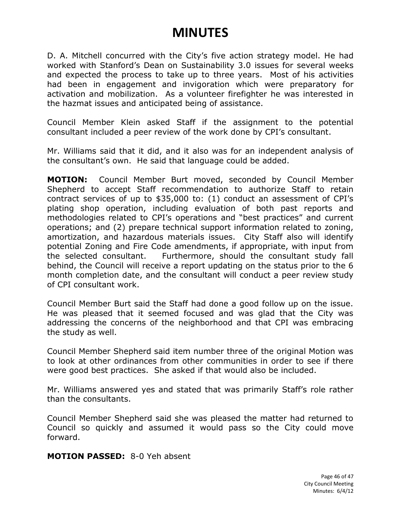D. A. Mitchell concurred with the City's five action strategy model. He had worked with Stanford's Dean on Sustainability 3.0 issues for several weeks and expected the process to take up to three years. Most of his activities had been in engagement and invigoration which were preparatory for activation and mobilization. As a volunteer firefighter he was interested in the hazmat issues and anticipated being of assistance.

Council Member Klein asked Staff if the assignment to the potential consultant included a peer review of the work done by CPI's consultant.

Mr. Williams said that it did, and it also was for an independent analysis of the consultant's own. He said that language could be added.

**MOTION:** Council Member Burt moved, seconded by Council Member Shepherd to accept Staff recommendation to authorize Staff to retain contract services of up to \$35,000 to: (1) conduct an assessment of CPI's plating shop operation, including evaluation of both past reports and methodologies related to CPI's operations and "best practices" and current operations; and (2) prepare technical support information related to zoning, amortization, and hazardous materials issues. City Staff also will identify potential Zoning and Fire Code amendments, if appropriate, with input from the selected consultant. Furthermore, should the consultant study fall behind, the Council will receive a report updating on the status prior to the 6 month completion date, and the consultant will conduct a peer review study of CPI consultant work.

Council Member Burt said the Staff had done a good follow up on the issue. He was pleased that it seemed focused and was glad that the City was addressing the concerns of the neighborhood and that CPI was embracing the study as well.

Council Member Shepherd said item number three of the original Motion was to look at other ordinances from other communities in order to see if there were good best practices. She asked if that would also be included.

Mr. Williams answered yes and stated that was primarily Staff's role rather than the consultants.

Council Member Shepherd said she was pleased the matter had returned to Council so quickly and assumed it would pass so the City could move forward.

**MOTION PASSED:** 8-0 Yeh absent